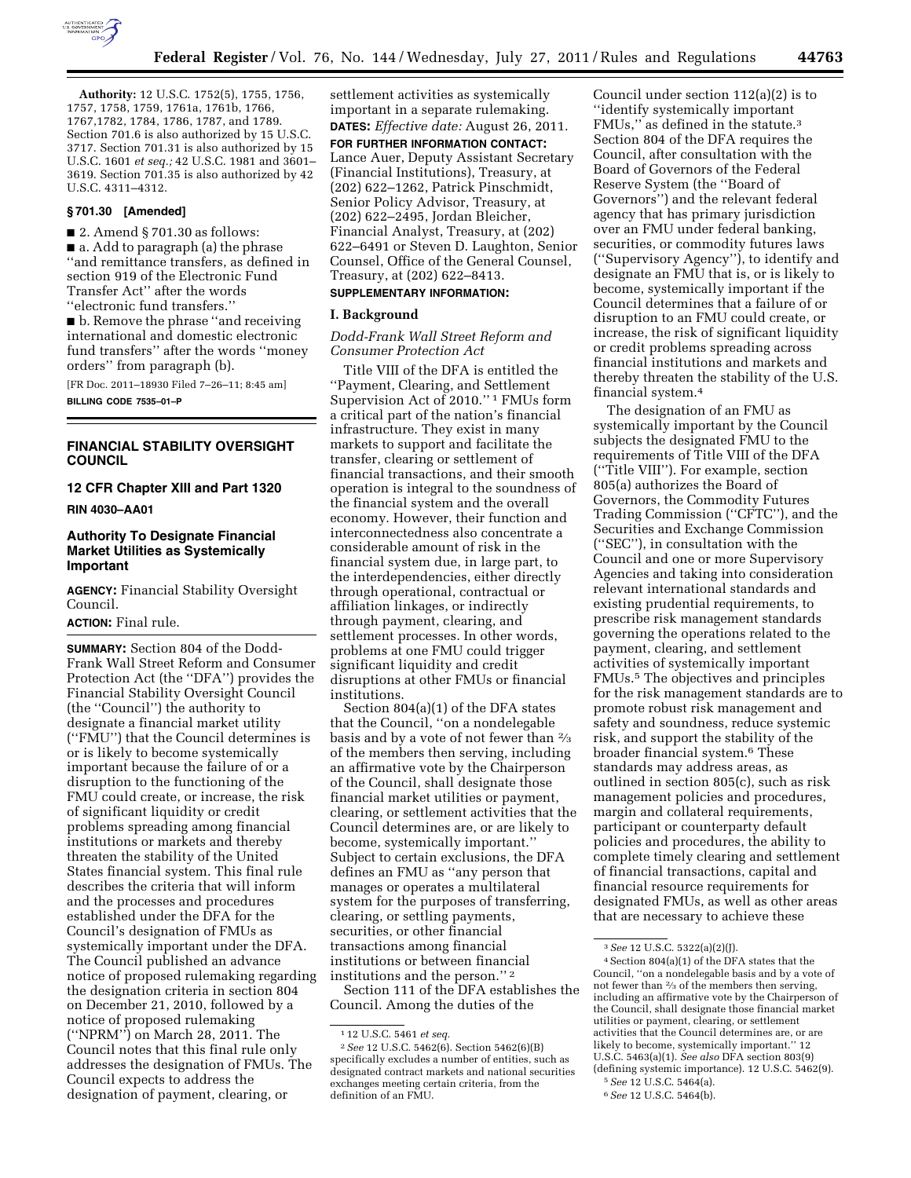

**Authority:** 12 U.S.C. 1752(5), 1755, 1756, 1757, 1758, 1759, 1761a, 1761b, 1766, 1767,1782, 1784, 1786, 1787, and 1789. Section 701.6 is also authorized by 15 U.S.C. 3717. Section 701.31 is also authorized by 15 U.S.C. 1601 *et seq.;* 42 U.S.C. 1981 and 3601– 3619. Section 701.35 is also authorized by 42 U.S.C. 4311–4312.

# **§ 701.30 [Amended]**

 $\blacksquare$  2. Amend § 701.30 as follows: ■ a. Add to paragraph (a) the phrase ''and remittance transfers, as defined in section 919 of the Electronic Fund Transfer Act'' after the words ''electronic fund transfers.''

■ b. Remove the phrase "and receiving international and domestic electronic fund transfers'' after the words ''money orders'' from paragraph (b).

[FR Doc. 2011–18930 Filed 7–26–11; 8:45 am] **BILLING CODE 7535–01–P** 

## **FINANCIAL STABILITY OVERSIGHT COUNCIL**

# **12 CFR Chapter XIII and Part 1320**

**RIN 4030–AA01** 

# **Authority To Designate Financial Market Utilities as Systemically Important**

**AGENCY:** Financial Stability Oversight Council.

## **ACTION:** Final rule.

**SUMMARY:** Section 804 of the Dodd-Frank Wall Street Reform and Consumer Protection Act (the ''DFA'') provides the Financial Stability Oversight Council (the ''Council'') the authority to designate a financial market utility (''FMU'') that the Council determines is or is likely to become systemically important because the failure of or a disruption to the functioning of the FMU could create, or increase, the risk of significant liquidity or credit problems spreading among financial institutions or markets and thereby threaten the stability of the United States financial system. This final rule describes the criteria that will inform and the processes and procedures established under the DFA for the Council's designation of FMUs as systemically important under the DFA. The Council published an advance notice of proposed rulemaking regarding the designation criteria in section 804 on December 21, 2010, followed by a notice of proposed rulemaking (''NPRM'') on March 28, 2011. The Council notes that this final rule only addresses the designation of FMUs. The Council expects to address the designation of payment, clearing, or

settlement activities as systemically important in a separate rulemaking. **DATES:** *Effective date:* August 26, 2011.

**FOR FURTHER INFORMATION CONTACT:**  Lance Auer, Deputy Assistant Secretary (Financial Institutions), Treasury, at (202) 622–1262, Patrick Pinschmidt, Senior Policy Advisor, Treasury, at (202) 622–2495, Jordan Bleicher, Financial Analyst, Treasury, at (202) 622–6491 or Steven D. Laughton, Senior Counsel, Office of the General Counsel, Treasury, at (202) 622–8413.

### **SUPPLEMENTARY INFORMATION:**

### **I. Background**

# *Dodd-Frank Wall Street Reform and Consumer Protection Act*

Title VIII of the DFA is entitled the ''Payment, Clearing, and Settlement Supervision Act of 2010.'' 1 FMUs form a critical part of the nation's financial infrastructure. They exist in many markets to support and facilitate the transfer, clearing or settlement of financial transactions, and their smooth operation is integral to the soundness of the financial system and the overall economy. However, their function and interconnectedness also concentrate a considerable amount of risk in the financial system due, in large part, to the interdependencies, either directly through operational, contractual or affiliation linkages, or indirectly through payment, clearing, and settlement processes. In other words, problems at one FMU could trigger significant liquidity and credit disruptions at other FMUs or financial institutions.

Section 804(a)(1) of the DFA states that the Council, ''on a nondelegable basis and by a vote of not fewer than 2⁄3 of the members then serving, including an affirmative vote by the Chairperson of the Council, shall designate those financial market utilities or payment, clearing, or settlement activities that the Council determines are, or are likely to become, systemically important.'' Subject to certain exclusions, the DFA defines an FMU as ''any person that manages or operates a multilateral system for the purposes of transferring, clearing, or settling payments, securities, or other financial transactions among financial institutions or between financial institutions and the person.'' 2

Section 111 of the DFA establishes the Council. Among the duties of the

Council under section 112(a)(2) is to ''identify systemically important FMUs,'' as defined in the statute.3 Section 804 of the DFA requires the Council, after consultation with the Board of Governors of the Federal Reserve System (the ''Board of Governors'') and the relevant federal agency that has primary jurisdiction over an FMU under federal banking, securities, or commodity futures laws (''Supervisory Agency''), to identify and designate an FMU that is, or is likely to become, systemically important if the Council determines that a failure of or disruption to an FMU could create, or increase, the risk of significant liquidity or credit problems spreading across financial institutions and markets and thereby threaten the stability of the U.S. financial system.4

The designation of an FMU as systemically important by the Council subjects the designated FMU to the requirements of Title VIII of the DFA (''Title VIII''). For example, section 805(a) authorizes the Board of Governors, the Commodity Futures Trading Commission (''CFTC''), and the Securities and Exchange Commission (''SEC''), in consultation with the Council and one or more Supervisory Agencies and taking into consideration relevant international standards and existing prudential requirements, to prescribe risk management standards governing the operations related to the payment, clearing, and settlement activities of systemically important FMUs.5 The objectives and principles for the risk management standards are to promote robust risk management and safety and soundness, reduce systemic risk, and support the stability of the broader financial system.6 These standards may address areas, as outlined in section 805(c), such as risk management policies and procedures, margin and collateral requirements, participant or counterparty default policies and procedures, the ability to complete timely clearing and settlement of financial transactions, capital and financial resource requirements for designated FMUs, as well as other areas that are necessary to achieve these

<sup>1</sup> 12 U.S.C. 5461 *et seq.* 

<sup>2</sup>*See* 12 U.S.C. 5462(6). Section 5462(6)(B) specifically excludes a number of entities, such as designated contract markets and national securities exchanges meeting certain criteria, from the definition of an FMU.

<sup>3</sup>*See* 12 U.S.C. 5322(a)(2)(J).

<sup>4</sup>Section 804(a)(1) of the DFA states that the Council, ''on a nondelegable basis and by a vote of not fewer than 2⁄3 of the members then serving, including an affirmative vote by the Chairperson of the Council, shall designate those financial market utilities or payment, clearing, or settlement activities that the Council determines are, or are likely to become, systemically important.'' 12 U.S.C. 5463(a)(1). *See also* DFA section 803(9) (defining systemic importance). 12 U.S.C. 5462(9).

<sup>5</sup>*See* 12 U.S.C. 5464(a).

<sup>6</sup>*See* 12 U.S.C. 5464(b).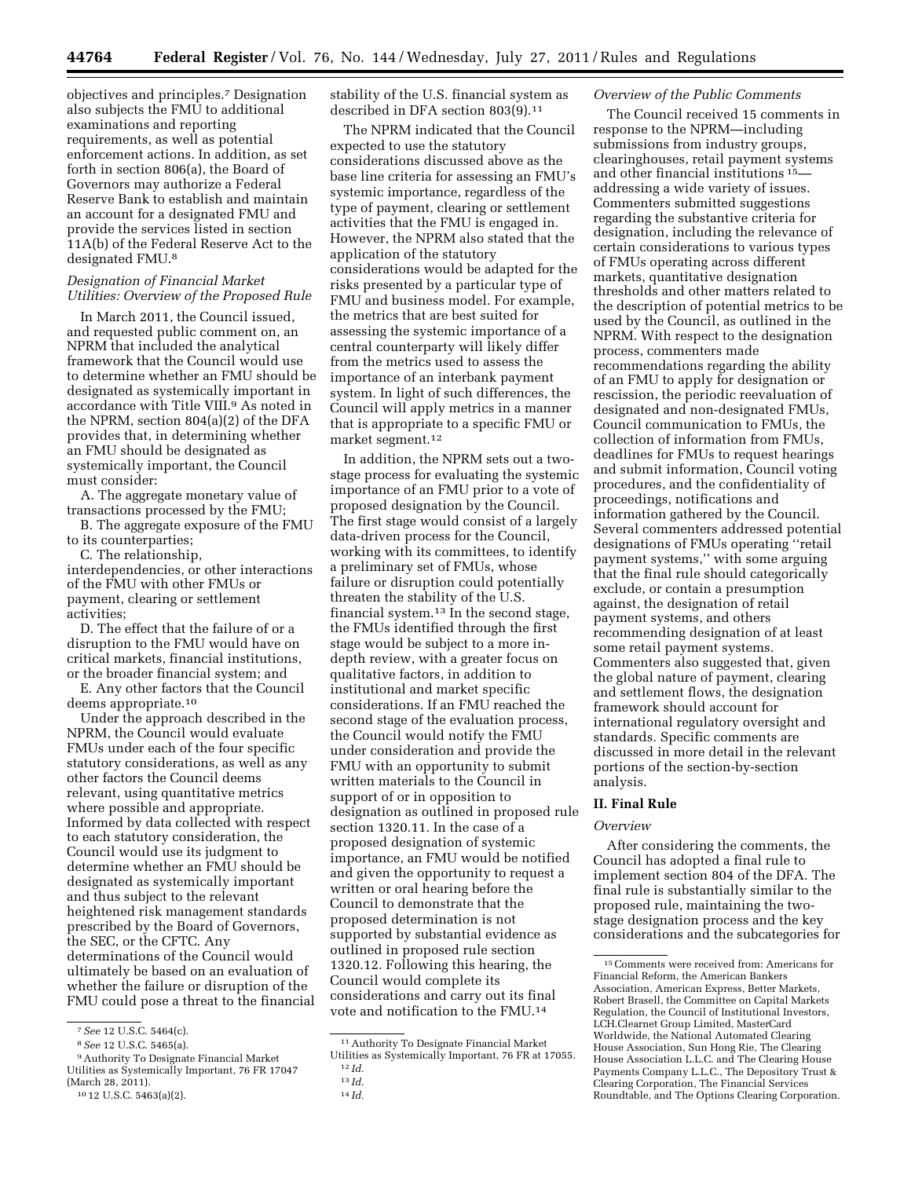objectives and principles.7 Designation also subjects the FMU to additional examinations and reporting requirements, as well as potential enforcement actions. In addition, as set forth in section 806(a), the Board of Governors may authorize a Federal Reserve Bank to establish and maintain an account for a designated FMU and provide the services listed in section 11A(b) of the Federal Reserve Act to the designated FMU.8

# *Designation of Financial Market Utilities: Overview of the Proposed Rule*

In March 2011, the Council issued, and requested public comment on, an NPRM that included the analytical framework that the Council would use to determine whether an FMU should be designated as systemically important in accordance with Title VIII.<sup>9</sup> As noted in the NPRM, section 804(a)(2) of the DFA provides that, in determining whether an FMU should be designated as systemically important, the Council must consider:

A. The aggregate monetary value of transactions processed by the FMU;

B. The aggregate exposure of the FMU to its counterparties;

C. The relationship,

interdependencies, or other interactions of the FMU with other FMUs or payment, clearing or settlement activities;

D. The effect that the failure of or a disruption to the FMU would have on critical markets, financial institutions, or the broader financial system; and

E. Any other factors that the Council deems appropriate.10

Under the approach described in the NPRM, the Council would evaluate FMUs under each of the four specific statutory considerations, as well as any other factors the Council deems relevant, using quantitative metrics where possible and appropriate. Informed by data collected with respect to each statutory consideration, the Council would use its judgment to determine whether an FMU should be designated as systemically important and thus subject to the relevant heightened risk management standards prescribed by the Board of Governors, the SEC, or the CFTC. Any determinations of the Council would ultimately be based on an evaluation of whether the failure or disruption of the FMU could pose a threat to the financial stability of the U.S. financial system as described in DFA section 803(9).11

The NPRM indicated that the Council expected to use the statutory considerations discussed above as the base line criteria for assessing an FMU's systemic importance, regardless of the type of payment, clearing or settlement activities that the FMU is engaged in. However, the NPRM also stated that the application of the statutory considerations would be adapted for the risks presented by a particular type of FMU and business model. For example, the metrics that are best suited for assessing the systemic importance of a central counterparty will likely differ from the metrics used to assess the importance of an interbank payment system. In light of such differences, the Council will apply metrics in a manner that is appropriate to a specific FMU or market segment.12

In addition, the NPRM sets out a twostage process for evaluating the systemic importance of an FMU prior to a vote of proposed designation by the Council. The first stage would consist of a largely data-driven process for the Council, working with its committees, to identify a preliminary set of FMUs, whose failure or disruption could potentially threaten the stability of the U.S. financial system.<sup>13</sup> In the second stage, the FMUs identified through the first stage would be subject to a more indepth review, with a greater focus on qualitative factors, in addition to institutional and market specific considerations. If an FMU reached the second stage of the evaluation process, the Council would notify the FMU under consideration and provide the FMU with an opportunity to submit written materials to the Council in support of or in opposition to designation as outlined in proposed rule section 1320.11. In the case of a proposed designation of systemic importance, an FMU would be notified and given the opportunity to request a written or oral hearing before the Council to demonstrate that the proposed determination is not supported by substantial evidence as outlined in proposed rule section 1320.12. Following this hearing, the Council would complete its considerations and carry out its final vote and notification to the FMU.14

### *Overview of the Public Comments*

The Council received 15 comments in response to the NPRM—including submissions from industry groups, clearinghouses, retail payment systems and other financial institutions 15 addressing a wide variety of issues. Commenters submitted suggestions regarding the substantive criteria for designation, including the relevance of certain considerations to various types of FMUs operating across different markets, quantitative designation thresholds and other matters related to the description of potential metrics to be used by the Council, as outlined in the NPRM. With respect to the designation process, commenters made recommendations regarding the ability of an FMU to apply for designation or rescission, the periodic reevaluation of designated and non-designated FMUs, Council communication to FMUs, the collection of information from FMUs, deadlines for FMUs to request hearings and submit information, Council voting procedures, and the confidentiality of proceedings, notifications and information gathered by the Council. Several commenters addressed potential designations of FMUs operating ''retail payment systems,'' with some arguing that the final rule should categorically exclude, or contain a presumption against, the designation of retail payment systems, and others recommending designation of at least some retail payment systems. Commenters also suggested that, given the global nature of payment, clearing and settlement flows, the designation framework should account for international regulatory oversight and standards. Specific comments are discussed in more detail in the relevant portions of the section-by-section analysis.

# **II. Final Rule**

## *Overview*

After considering the comments, the Council has adopted a final rule to implement section 804 of the DFA. The final rule is substantially similar to the proposed rule, maintaining the twostage designation process and the key considerations and the subcategories for

<sup>7</sup>*See* 12 U.S.C. 5464(c).

<sup>8</sup>*See* 12 U.S.C. 5465(a).

<sup>9</sup>Authority To Designate Financial Market Utilities as Systemically Important, 76 FR 17047 (March 28, 2011).

<sup>10</sup> 12 U.S.C. 5463(a)(2).

<sup>11</sup>Authority To Designate Financial Market Utilities as Systemically Important, 76 FR at 17055. 12 *Id.* 

<sup>13</sup> *Id.* 

<sup>14</sup> *Id.* 

<sup>15</sup>Comments were received from: Americans for Financial Reform, the American Bankers Association, American Express, Better Markets, Robert Brasell, the Committee on Capital Markets Regulation, the Council of Institutional Investors, LCH.Clearnet Group Limited, MasterCard Worldwide, the National Automated Clearing House Association, Sun Hong Rie, The Clearing House Association L.L.C. and The Clearing House Payments Company L.L.C., The Depository Trust & Clearing Corporation, The Financial Services Roundtable, and The Options Clearing Corporation.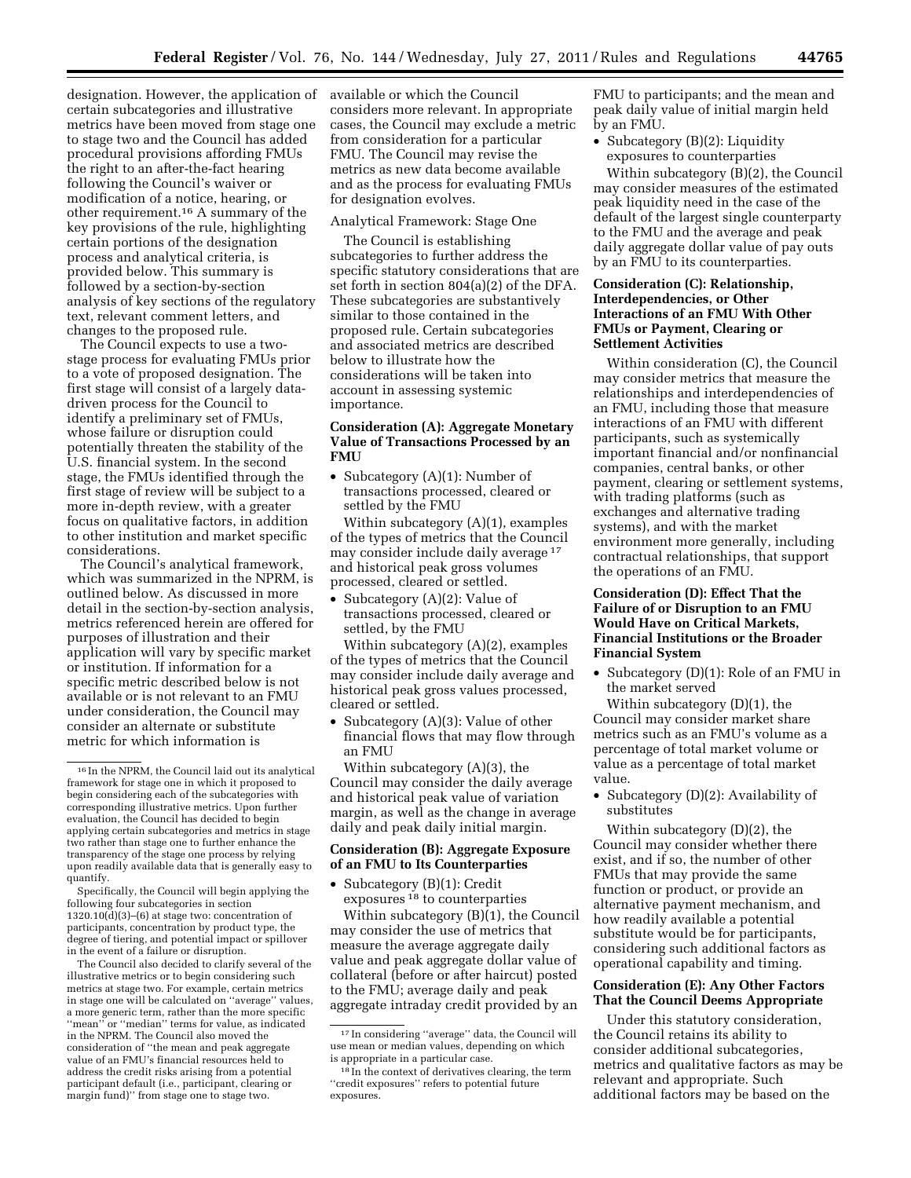designation. However, the application of certain subcategories and illustrative metrics have been moved from stage one to stage two and the Council has added procedural provisions affording FMUs the right to an after-the-fact hearing following the Council's waiver or modification of a notice, hearing, or other requirement.16 A summary of the key provisions of the rule, highlighting certain portions of the designation process and analytical criteria, is provided below. This summary is followed by a section-by-section analysis of key sections of the regulatory text, relevant comment letters, and changes to the proposed rule.

The Council expects to use a twostage process for evaluating FMUs prior to a vote of proposed designation. The first stage will consist of a largely datadriven process for the Council to identify a preliminary set of FMUs, whose failure or disruption could potentially threaten the stability of the U.S. financial system. In the second stage, the FMUs identified through the first stage of review will be subject to a more in-depth review, with a greater focus on qualitative factors, in addition to other institution and market specific considerations.

The Council's analytical framework, which was summarized in the NPRM, is outlined below. As discussed in more detail in the section-by-section analysis, metrics referenced herein are offered for purposes of illustration and their application will vary by specific market or institution. If information for a specific metric described below is not available or is not relevant to an FMU under consideration, the Council may consider an alternate or substitute metric for which information is

Specifically, the Council will begin applying the following four subcategories in section  $1320.10(\ddot{d})(3)$ –(6) at stage two: concentration of participants, concentration by product type, the degree of tiering, and potential impact or spillover in the event of a failure or disruption.

The Council also decided to clarify several of the illustrative metrics or to begin considering such metrics at stage two. For example, certain metrics in stage one will be calculated on ''average'' values, a more generic term, rather than the more specific "mean" or "median" terms for value, as indicated in the NPRM. The Council also moved the consideration of ''the mean and peak aggregate value of an FMU's financial resources held to address the credit risks arising from a potential participant default (i.e., participant, clearing or margin fund)'' from stage one to stage two.

available or which the Council considers more relevant. In appropriate cases, the Council may exclude a metric from consideration for a particular FMU. The Council may revise the metrics as new data become available and as the process for evaluating FMUs for designation evolves.

### Analytical Framework: Stage One

The Council is establishing subcategories to further address the specific statutory considerations that are set forth in section 804(a)(2) of the DFA. These subcategories are substantively similar to those contained in the proposed rule. Certain subcategories and associated metrics are described below to illustrate how the considerations will be taken into account in assessing systemic importance.

# **Consideration (A): Aggregate Monetary Value of Transactions Processed by an FMU**

• Subcategory (A)(1): Number of transactions processed, cleared or settled by the FMU

Within subcategory (A)(1), examples of the types of metrics that the Council may consider include daily average 17 and historical peak gross volumes processed, cleared or settled.

• Subcategory (A)(2): Value of transactions processed, cleared or settled, by the FMU

Within subcategory (A)(2), examples of the types of metrics that the Council may consider include daily average and historical peak gross values processed, cleared or settled.

• Subcategory (A)(3): Value of other financial flows that may flow through an FMU

Within subcategory (A)(3), the Council may consider the daily average and historical peak value of variation margin, as well as the change in average daily and peak daily initial margin.

# **Consideration (B): Aggregate Exposure of an FMU to Its Counterparties**

• Subcategory (B)(1): Credit exposures 18 to counterparties

Within subcategory (B)(1), the Council may consider the use of metrics that measure the average aggregate daily value and peak aggregate dollar value of collateral (before or after haircut) posted to the FMU; average daily and peak aggregate intraday credit provided by an

FMU to participants; and the mean and peak daily value of initial margin held by an FMU.

• Subcategory (B)(2): Liquidity exposures to counterparties

Within subcategory (B)(2), the Council may consider measures of the estimated peak liquidity need in the case of the default of the largest single counterparty to the FMU and the average and peak daily aggregate dollar value of pay outs by an FMU to its counterparties.

# **Consideration (C): Relationship, Interdependencies, or Other Interactions of an FMU With Other FMUs or Payment, Clearing or Settlement Activities**

Within consideration (C), the Council may consider metrics that measure the relationships and interdependencies of an FMU, including those that measure interactions of an FMU with different participants, such as systemically important financial and/or nonfinancial companies, central banks, or other payment, clearing or settlement systems, with trading platforms (such as exchanges and alternative trading systems), and with the market environment more generally, including contractual relationships, that support the operations of an FMU.

# **Consideration (D): Effect That the Failure of or Disruption to an FMU Would Have on Critical Markets, Financial Institutions or the Broader Financial System**

• Subcategory (D)(1): Role of an FMU in the market served

Within subcategory (D)(1), the Council may consider market share metrics such as an FMU's volume as a percentage of total market volume or value as a percentage of total market value.

• Subcategory (D)(2): Availability of substitutes

Within subcategory (D)(2), the Council may consider whether there exist, and if so, the number of other FMUs that may provide the same function or product, or provide an alternative payment mechanism, and how readily available a potential substitute would be for participants, considering such additional factors as operational capability and timing.

## **Consideration (E): Any Other Factors That the Council Deems Appropriate**

Under this statutory consideration, the Council retains its ability to consider additional subcategories, metrics and qualitative factors as may be relevant and appropriate. Such additional factors may be based on the

<sup>16</sup> In the NPRM, the Council laid out its analytical framework for stage one in which it proposed to begin considering each of the subcategories with corresponding illustrative metrics. Upon further evaluation, the Council has decided to begin applying certain subcategories and metrics in stage two rather than stage one to further enhance the transparency of the stage one process by relying upon readily available data that is generally easy to quantify.

<sup>17</sup> In considering ''average'' data, the Council will use mean or median values, depending on which is appropriate in a particular case.

<sup>&</sup>lt;sup>18</sup> In the context of derivatives clearing, the term ''credit exposures'' refers to potential future exposures.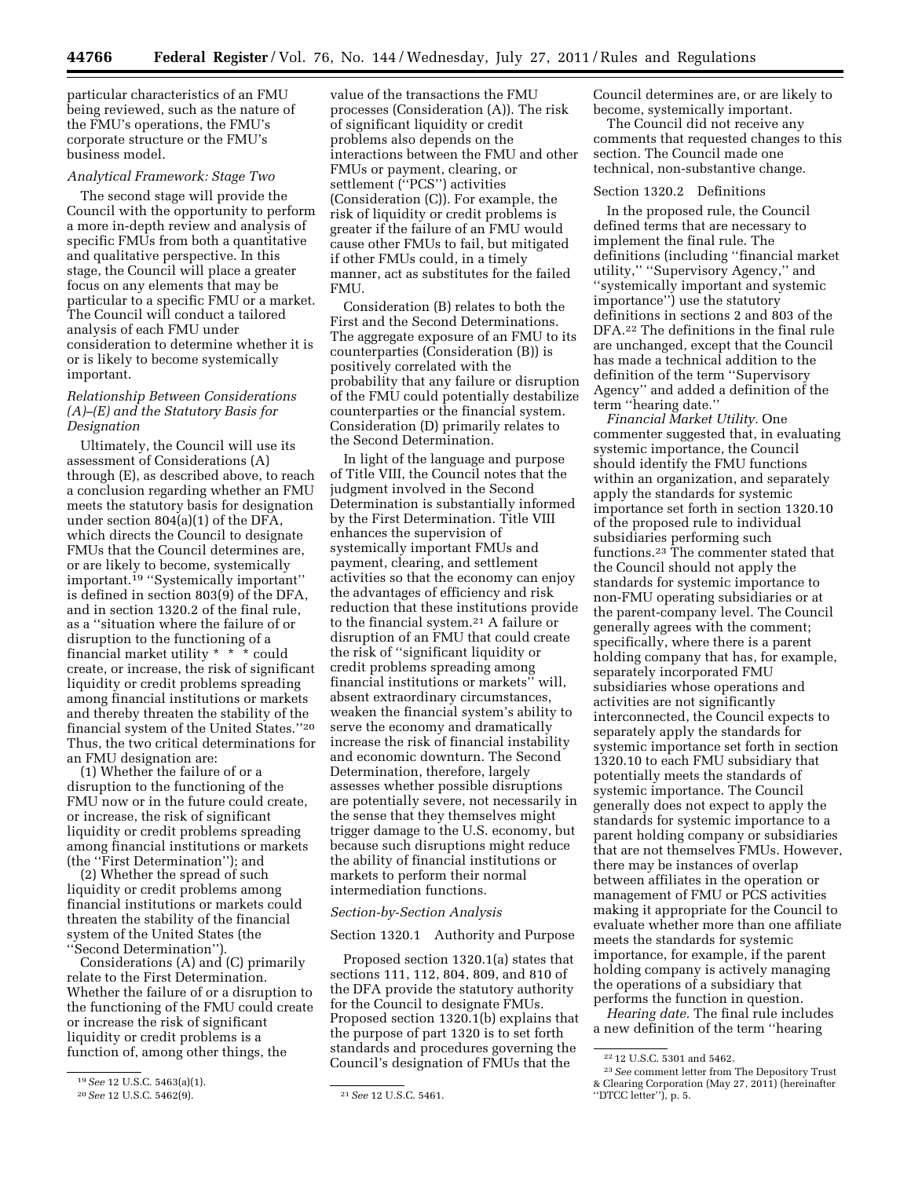particular characteristics of an FMU being reviewed, such as the nature of the FMU's operations, the FMU's corporate structure or the FMU's business model.

## *Analytical Framework: Stage Two*

The second stage will provide the Council with the opportunity to perform a more in-depth review and analysis of specific FMUs from both a quantitative and qualitative perspective. In this stage, the Council will place a greater focus on any elements that may be particular to a specific FMU or a market. The Council will conduct a tailored analysis of each FMU under consideration to determine whether it is or is likely to become systemically important.

# *Relationship Between Considerations (A)–(E) and the Statutory Basis for Designation*

Ultimately, the Council will use its assessment of Considerations (A) through (E), as described above, to reach a conclusion regarding whether an FMU meets the statutory basis for designation under section 804(a)(1) of the DFA, which directs the Council to designate FMUs that the Council determines are, or are likely to become, systemically important.19 ''Systemically important'' is defined in section 803(9) of the DFA, and in section 1320.2 of the final rule, as a ''situation where the failure of or disruption to the functioning of a financial market utility \* \* \* could create, or increase, the risk of significant liquidity or credit problems spreading among financial institutions or markets and thereby threaten the stability of the financial system of the United States.''20 Thus, the two critical determinations for an FMU designation are:

(1) Whether the failure of or a disruption to the functioning of the FMU now or in the future could create, or increase, the risk of significant liquidity or credit problems spreading among financial institutions or markets (the ''First Determination''); and

(2) Whether the spread of such liquidity or credit problems among financial institutions or markets could threaten the stability of the financial system of the United States (the ''Second Determination'').

Considerations (A) and (C) primarily relate to the First Determination. Whether the failure of or a disruption to the functioning of the FMU could create or increase the risk of significant liquidity or credit problems is a function of, among other things, the

value of the transactions the FMU processes (Consideration (A)). The risk of significant liquidity or credit problems also depends on the interactions between the FMU and other FMUs or payment, clearing, or settlement (''PCS'') activities (Consideration (C)). For example, the risk of liquidity or credit problems is greater if the failure of an FMU would cause other FMUs to fail, but mitigated if other FMUs could, in a timely manner, act as substitutes for the failed FMU.

Consideration (B) relates to both the First and the Second Determinations. The aggregate exposure of an FMU to its counterparties (Consideration (B)) is positively correlated with the probability that any failure or disruption of the FMU could potentially destabilize counterparties or the financial system. Consideration (D) primarily relates to the Second Determination.

In light of the language and purpose of Title VIII, the Council notes that the judgment involved in the Second Determination is substantially informed by the First Determination. Title VIII enhances the supervision of systemically important FMUs and payment, clearing, and settlement activities so that the economy can enjoy the advantages of efficiency and risk reduction that these institutions provide to the financial system.21 A failure or disruption of an FMU that could create the risk of ''significant liquidity or credit problems spreading among financial institutions or markets'' will, absent extraordinary circumstances, weaken the financial system's ability to serve the economy and dramatically increase the risk of financial instability and economic downturn. The Second Determination, therefore, largely assesses whether possible disruptions are potentially severe, not necessarily in the sense that they themselves might trigger damage to the U.S. economy, but because such disruptions might reduce the ability of financial institutions or markets to perform their normal intermediation functions.

### *Section-by-Section Analysis*

### Section 1320.1 Authority and Purpose

Proposed section 1320.1(a) states that sections 111, 112, 804, 809, and 810 of the DFA provide the statutory authority for the Council to designate FMUs. Proposed section 1320.1(b) explains that the purpose of part 1320 is to set forth standards and procedures governing the Council's designation of FMUs that the

Council determines are, or are likely to become, systemically important.

The Council did not receive any comments that requested changes to this section. The Council made one technical, non-substantive change.

#### Section 1320.2 Definitions

In the proposed rule, the Council defined terms that are necessary to implement the final rule. The definitions (including ''financial market utility,'' ''Supervisory Agency,'' and ''systemically important and systemic importance'') use the statutory definitions in sections 2 and 803 of the DFA.22 The definitions in the final rule are unchanged, except that the Council has made a technical addition to the definition of the term ''Supervisory Agency'' and added a definition of the term ''hearing date.''

*Financial Market Utility.* One commenter suggested that, in evaluating systemic importance, the Council should identify the FMU functions within an organization, and separately apply the standards for systemic importance set forth in section 1320.10 of the proposed rule to individual subsidiaries performing such functions.23 The commenter stated that the Council should not apply the standards for systemic importance to non-FMU operating subsidiaries or at the parent-company level. The Council generally agrees with the comment; specifically, where there is a parent holding company that has, for example, separately incorporated FMU subsidiaries whose operations and activities are not significantly interconnected, the Council expects to separately apply the standards for systemic importance set forth in section 1320.10 to each FMU subsidiary that potentially meets the standards of systemic importance. The Council generally does not expect to apply the standards for systemic importance to a parent holding company or subsidiaries that are not themselves FMUs. However, there may be instances of overlap between affiliates in the operation or management of FMU or PCS activities making it appropriate for the Council to evaluate whether more than one affiliate meets the standards for systemic importance, for example, if the parent holding company is actively managing the operations of a subsidiary that performs the function in question.

*Hearing date.* The final rule includes a new definition of the term ''hearing

<sup>19</sup>*See* 12 U.S.C. 5463(a)(1).

<sup>20</sup>*See* 12 U.S.C. 5462(9). 21*See* 12 U.S.C. 5461.

<sup>22</sup> 12 U.S.C. 5301 and 5462.

<sup>23</sup>*See* comment letter from The Depository Trust & Clearing Corporation (May 27, 2011) (hereinafter ''DTCC letter''), p. 5.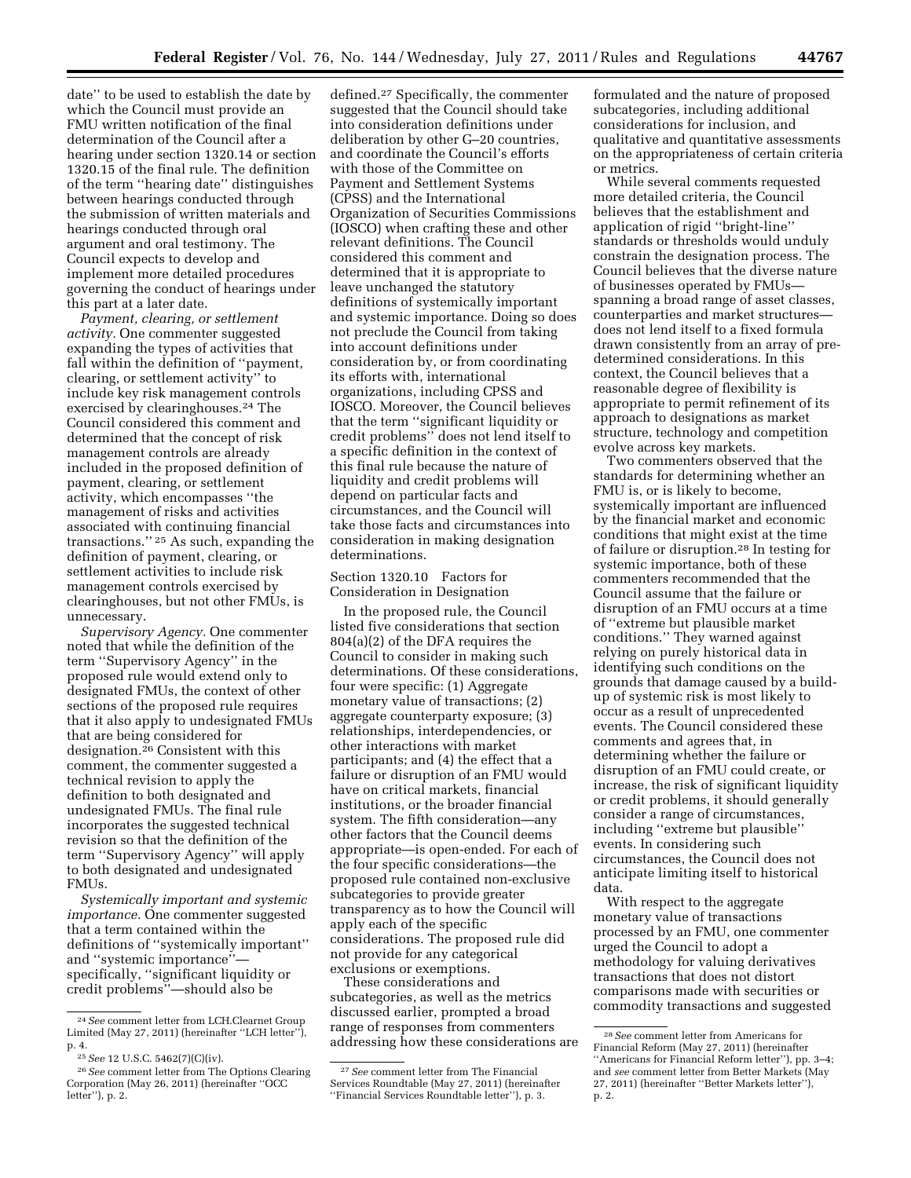date'' to be used to establish the date by which the Council must provide an FMU written notification of the final determination of the Council after a hearing under section 1320.14 or section 1320.15 of the final rule. The definition of the term ''hearing date'' distinguishes between hearings conducted through the submission of written materials and hearings conducted through oral argument and oral testimony. The Council expects to develop and implement more detailed procedures governing the conduct of hearings under this part at a later date.

*Payment, clearing, or settlement activity.* One commenter suggested expanding the types of activities that fall within the definition of ''payment, clearing, or settlement activity'' to include key risk management controls exercised by clearinghouses.24 The Council considered this comment and determined that the concept of risk management controls are already included in the proposed definition of payment, clearing, or settlement activity, which encompasses ''the management of risks and activities associated with continuing financial transactions.'' 25 As such, expanding the definition of payment, clearing, or settlement activities to include risk management controls exercised by clearinghouses, but not other FMUs, is unnecessary.

*Supervisory Agency.* One commenter noted that while the definition of the term ''Supervisory Agency'' in the proposed rule would extend only to designated FMUs, the context of other sections of the proposed rule requires that it also apply to undesignated FMUs that are being considered for designation.26 Consistent with this comment, the commenter suggested a technical revision to apply the definition to both designated and undesignated FMUs. The final rule incorporates the suggested technical revision so that the definition of the term ''Supervisory Agency'' will apply to both designated and undesignated FMU<sub>s</sub>.

*Systemically important and systemic importance.* One commenter suggested that a term contained within the definitions of ''systemically important'' and ''systemic importance'' specifically, ''significant liquidity or credit problems''—should also be

defined.27 Specifically, the commenter suggested that the Council should take into consideration definitions under deliberation by other G–20 countries, and coordinate the Council's efforts with those of the Committee on Payment and Settlement Systems (CPSS) and the International Organization of Securities Commissions (IOSCO) when crafting these and other relevant definitions. The Council considered this comment and determined that it is appropriate to leave unchanged the statutory definitions of systemically important and systemic importance. Doing so does not preclude the Council from taking into account definitions under consideration by, or from coordinating its efforts with, international organizations, including CPSS and IOSCO. Moreover, the Council believes that the term ''significant liquidity or credit problems'' does not lend itself to a specific definition in the context of this final rule because the nature of liquidity and credit problems will depend on particular facts and circumstances, and the Council will take those facts and circumstances into consideration in making designation determinations.

Section 1320.10 Factors for Consideration in Designation

In the proposed rule, the Council listed five considerations that section 804(a)(2) of the DFA requires the Council to consider in making such determinations. Of these considerations, four were specific: (1) Aggregate monetary value of transactions; (2) aggregate counterparty exposure; (3) relationships, interdependencies, or other interactions with market participants; and (4) the effect that a failure or disruption of an FMU would have on critical markets, financial institutions, or the broader financial system. The fifth consideration—any other factors that the Council deems appropriate—is open-ended. For each of the four specific considerations—the proposed rule contained non-exclusive subcategories to provide greater transparency as to how the Council will apply each of the specific considerations. The proposed rule did not provide for any categorical exclusions or exemptions.

These considerations and subcategories, as well as the metrics discussed earlier, prompted a broad range of responses from commenters addressing how these considerations are

formulated and the nature of proposed subcategories, including additional considerations for inclusion, and qualitative and quantitative assessments on the appropriateness of certain criteria or metrics.

While several comments requested more detailed criteria, the Council believes that the establishment and application of rigid ''bright-line'' standards or thresholds would unduly constrain the designation process. The Council believes that the diverse nature of businesses operated by FMUs spanning a broad range of asset classes, counterparties and market structures does not lend itself to a fixed formula drawn consistently from an array of predetermined considerations. In this context, the Council believes that a reasonable degree of flexibility is appropriate to permit refinement of its approach to designations as market structure, technology and competition evolve across key markets.

Two commenters observed that the standards for determining whether an FMU is, or is likely to become, systemically important are influenced by the financial market and economic conditions that might exist at the time of failure or disruption.28 In testing for systemic importance, both of these commenters recommended that the Council assume that the failure or disruption of an FMU occurs at a time of ''extreme but plausible market conditions.'' They warned against relying on purely historical data in identifying such conditions on the grounds that damage caused by a buildup of systemic risk is most likely to occur as a result of unprecedented events. The Council considered these comments and agrees that, in determining whether the failure or disruption of an FMU could create, or increase, the risk of significant liquidity or credit problems, it should generally consider a range of circumstances, including ''extreme but plausible'' events. In considering such circumstances, the Council does not anticipate limiting itself to historical data.

With respect to the aggregate monetary value of transactions processed by an FMU, one commenter urged the Council to adopt a methodology for valuing derivatives transactions that does not distort comparisons made with securities or commodity transactions and suggested

<sup>24</sup>*See* comment letter from LCH.Clearnet Group Limited (May 27, 2011) (hereinafter ''LCH letter''), p. 4.

<sup>25</sup>*See* 12 U.S.C. 5462(7)(C)(iv).

<sup>26</sup>*See* comment letter from The Options Clearing Corporation (May 26, 2011) (hereinafter ''OCC letter''), p. 2.

<sup>27</sup>*See* comment letter from The Financial Services Roundtable (May 27, 2011) (hereinafter ''Financial Services Roundtable letter''), p. 3.

<sup>28</sup>*See* comment letter from Americans for Financial Reform (May 27, 2011) (hereinafter ''Americans for Financial Reform letter''), pp. 3–4; and *see* comment letter from Better Markets (May 27, 2011) (hereinafter ''Better Markets letter''), p. 2.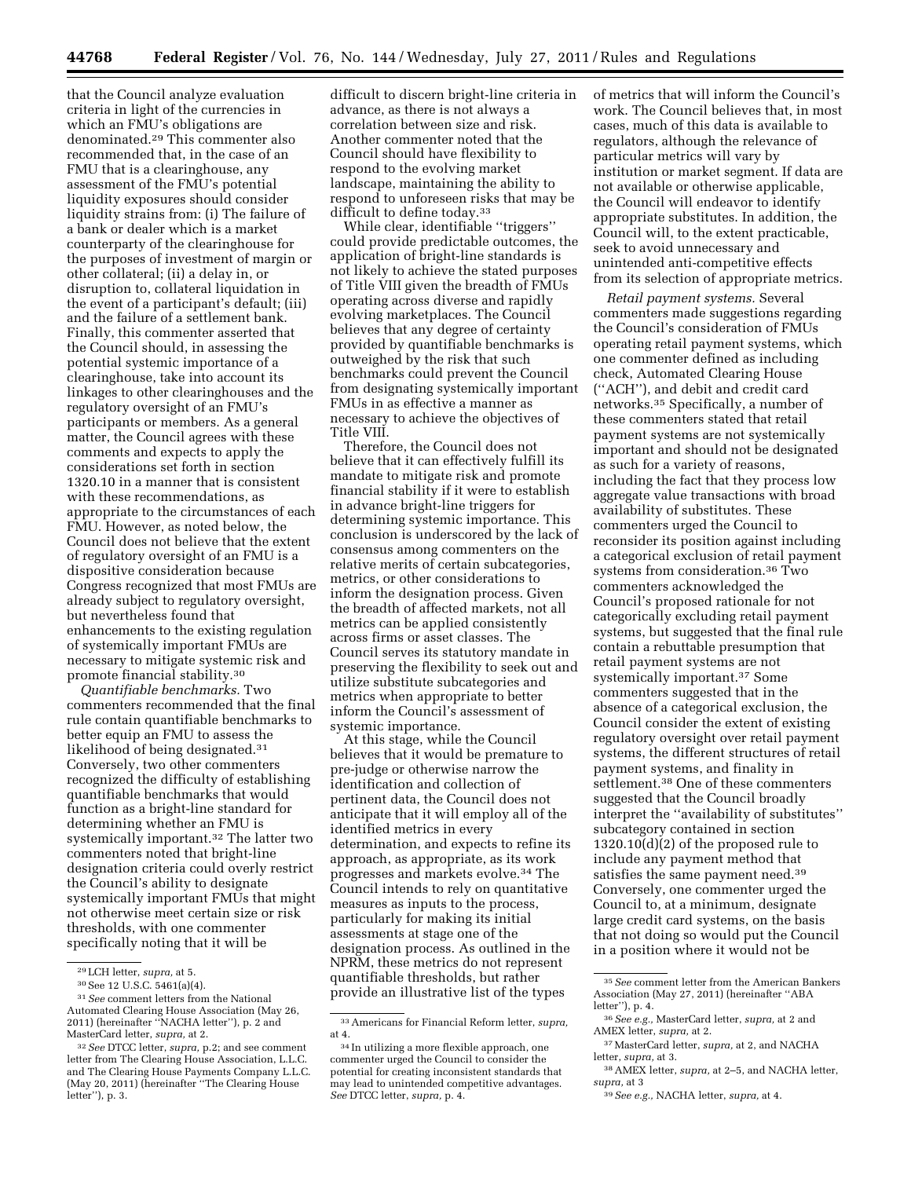that the Council analyze evaluation criteria in light of the currencies in which an FMU's obligations are denominated.29 This commenter also recommended that, in the case of an FMU that is a clearinghouse, any assessment of the FMU's potential liquidity exposures should consider liquidity strains from: (i) The failure of a bank or dealer which is a market counterparty of the clearinghouse for the purposes of investment of margin or other collateral; (ii) a delay in, or disruption to, collateral liquidation in the event of a participant's default; (iii) and the failure of a settlement bank. Finally, this commenter asserted that the Council should, in assessing the potential systemic importance of a clearinghouse, take into account its linkages to other clearinghouses and the regulatory oversight of an FMU's participants or members. As a general matter, the Council agrees with these comments and expects to apply the considerations set forth in section 1320.10 in a manner that is consistent with these recommendations, as appropriate to the circumstances of each FMU. However, as noted below, the Council does not believe that the extent of regulatory oversight of an FMU is a dispositive consideration because Congress recognized that most FMUs are already subject to regulatory oversight, but nevertheless found that enhancements to the existing regulation of systemically important FMUs are necessary to mitigate systemic risk and promote financial stability.30

*Quantifiable benchmarks.* Two commenters recommended that the final rule contain quantifiable benchmarks to better equip an FMU to assess the likelihood of being designated.31 Conversely, two other commenters recognized the difficulty of establishing quantifiable benchmarks that would function as a bright-line standard for determining whether an FMU is systemically important.32 The latter two commenters noted that bright-line designation criteria could overly restrict the Council's ability to designate systemically important FMUs that might not otherwise meet certain size or risk thresholds, with one commenter specifically noting that it will be

difficult to discern bright-line criteria in advance, as there is not always a correlation between size and risk. Another commenter noted that the Council should have flexibility to respond to the evolving market landscape, maintaining the ability to respond to unforeseen risks that may be difficult to define today.<sup>33</sup>

While clear, identifiable ''triggers'' could provide predictable outcomes, the application of bright-line standards is not likely to achieve the stated purposes of Title VIII given the breadth of FMUs operating across diverse and rapidly evolving marketplaces. The Council believes that any degree of certainty provided by quantifiable benchmarks is outweighed by the risk that such benchmarks could prevent the Council from designating systemically important FMUs in as effective a manner as necessary to achieve the objectives of Title VIII.

Therefore, the Council does not believe that it can effectively fulfill its mandate to mitigate risk and promote financial stability if it were to establish in advance bright-line triggers for determining systemic importance. This conclusion is underscored by the lack of consensus among commenters on the relative merits of certain subcategories, metrics, or other considerations to inform the designation process. Given the breadth of affected markets, not all metrics can be applied consistently across firms or asset classes. The Council serves its statutory mandate in preserving the flexibility to seek out and utilize substitute subcategories and metrics when appropriate to better inform the Council's assessment of systemic importance.

At this stage, while the Council believes that it would be premature to pre-judge or otherwise narrow the identification and collection of pertinent data, the Council does not anticipate that it will employ all of the identified metrics in every determination, and expects to refine its approach, as appropriate, as its work progresses and markets evolve.34 The Council intends to rely on quantitative measures as inputs to the process, particularly for making its initial assessments at stage one of the designation process. As outlined in the NPRM, these metrics do not represent quantifiable thresholds, but rather provide an illustrative list of the types

of metrics that will inform the Council's work. The Council believes that, in most cases, much of this data is available to regulators, although the relevance of particular metrics will vary by institution or market segment. If data are not available or otherwise applicable, the Council will endeavor to identify appropriate substitutes. In addition, the Council will, to the extent practicable, seek to avoid unnecessary and unintended anti-competitive effects from its selection of appropriate metrics.

*Retail payment systems.* Several commenters made suggestions regarding the Council's consideration of FMUs operating retail payment systems, which one commenter defined as including check, Automated Clearing House (''ACH''), and debit and credit card networks.35 Specifically, a number of these commenters stated that retail payment systems are not systemically important and should not be designated as such for a variety of reasons, including the fact that they process low aggregate value transactions with broad availability of substitutes. These commenters urged the Council to reconsider its position against including a categorical exclusion of retail payment systems from consideration.36 Two commenters acknowledged the Council's proposed rationale for not categorically excluding retail payment systems, but suggested that the final rule contain a rebuttable presumption that retail payment systems are not systemically important.37 Some commenters suggested that in the absence of a categorical exclusion, the Council consider the extent of existing regulatory oversight over retail payment systems, the different structures of retail payment systems, and finality in settlement.38 One of these commenters suggested that the Council broadly interpret the ''availability of substitutes'' subcategory contained in section 1320.10(d)(2) of the proposed rule to include any payment method that satisfies the same payment need.<sup>39</sup> Conversely, one commenter urged the Council to, at a minimum, designate large credit card systems, on the basis that not doing so would put the Council in a position where it would not be

<sup>29</sup>LCH letter, *supra,* at 5.

<sup>30</sup>See 12 U.S.C. 5461(a)(4).

<sup>31</sup>*See* comment letters from the National Automated Clearing House Association (May 26, 2011) (hereinafter ''NACHA letter''), p. 2 and MasterCard letter, *supra,* at 2.

<sup>32</sup>*See* DTCC letter, *supra,* p.2; and see comment letter from The Clearing House Association, L.L.C. and The Clearing House Payments Company L.L.C. (May 20, 2011) (hereinafter ''The Clearing House letter''), p. 3.

<sup>33</sup>Americans for Financial Reform letter, *supra,*  at 4.

<sup>34</sup> In utilizing a more flexible approach, one commenter urged the Council to consider the potential for creating inconsistent standards that may lead to unintended competitive advantages. *See* DTCC letter, *supra,* p. 4.

<sup>35</sup>*See* comment letter from the American Bankers Association (May 27, 2011) (hereinafter ''ABA letter''), p. 4.

<sup>36</sup>*See e.g.,* MasterCard letter, *supra,* at 2 and AMEX letter, *supra,* at 2.

<sup>37</sup>MasterCard letter, *supra,* at 2, and NACHA letter, *supra,* at 3.

<sup>38</sup>AMEX letter, *supra,* at 2–5, and NACHA letter, *supra,* at 3

<sup>39</sup>*See e.g.,* NACHA letter, *supra,* at 4.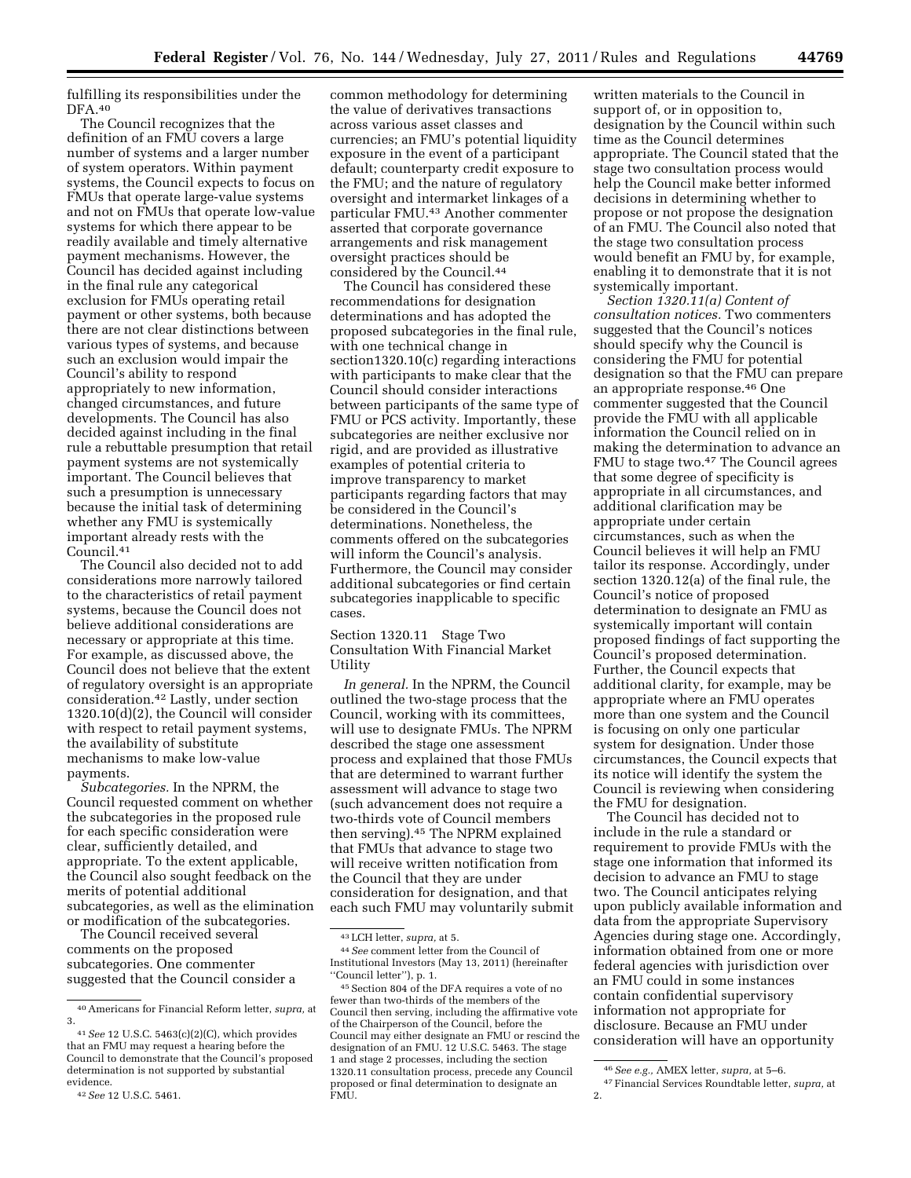fulfilling its responsibilities under the DFA.40

The Council recognizes that the definition of an FMU covers a large number of systems and a larger number of system operators. Within payment systems, the Council expects to focus on FMUs that operate large-value systems and not on FMUs that operate low-value systems for which there appear to be readily available and timely alternative payment mechanisms. However, the Council has decided against including in the final rule any categorical exclusion for FMUs operating retail payment or other systems, both because there are not clear distinctions between various types of systems, and because such an exclusion would impair the Council's ability to respond appropriately to new information, changed circumstances, and future developments. The Council has also decided against including in the final rule a rebuttable presumption that retail payment systems are not systemically important. The Council believes that such a presumption is unnecessary because the initial task of determining whether any FMU is systemically important already rests with the Council.41

The Council also decided not to add considerations more narrowly tailored to the characteristics of retail payment systems, because the Council does not believe additional considerations are necessary or appropriate at this time. For example, as discussed above, the Council does not believe that the extent of regulatory oversight is an appropriate consideration.42 Lastly, under section 1320.10(d)(2), the Council will consider with respect to retail payment systems, the availability of substitute mechanisms to make low-value payments.

*Subcategories.* In the NPRM, the Council requested comment on whether the subcategories in the proposed rule for each specific consideration were clear, sufficiently detailed, and appropriate. To the extent applicable, the Council also sought feedback on the merits of potential additional subcategories, as well as the elimination or modification of the subcategories.

The Council received several comments on the proposed subcategories. One commenter suggested that the Council consider a

common methodology for determining the value of derivatives transactions across various asset classes and currencies; an FMU's potential liquidity exposure in the event of a participant default; counterparty credit exposure to the FMU; and the nature of regulatory oversight and intermarket linkages of a particular FMU.43 Another commenter asserted that corporate governance arrangements and risk management oversight practices should be considered by the Council.44

The Council has considered these recommendations for designation determinations and has adopted the proposed subcategories in the final rule, with one technical change in section1320.10(c) regarding interactions with participants to make clear that the Council should consider interactions between participants of the same type of FMU or PCS activity. Importantly, these subcategories are neither exclusive nor rigid, and are provided as illustrative examples of potential criteria to improve transparency to market participants regarding factors that may be considered in the Council's determinations. Nonetheless, the comments offered on the subcategories will inform the Council's analysis. Furthermore, the Council may consider additional subcategories or find certain subcategories inapplicable to specific cases.

Section 1320.11 Stage Two Consultation With Financial Market Utility

*In general.* In the NPRM, the Council outlined the two-stage process that the Council, working with its committees, will use to designate FMUs. The NPRM described the stage one assessment process and explained that those FMUs that are determined to warrant further assessment will advance to stage two (such advancement does not require a two-thirds vote of Council members then serving).45 The NPRM explained that FMUs that advance to stage two will receive written notification from the Council that they are under consideration for designation, and that each such FMU may voluntarily submit

written materials to the Council in support of, or in opposition to, designation by the Council within such time as the Council determines appropriate. The Council stated that the stage two consultation process would help the Council make better informed decisions in determining whether to propose or not propose the designation of an FMU. The Council also noted that the stage two consultation process would benefit an FMU by, for example, enabling it to demonstrate that it is not systemically important.

*Section 1320.11(a) Content of consultation notices.* Two commenters suggested that the Council's notices should specify why the Council is considering the FMU for potential designation so that the FMU can prepare an appropriate response.46 One commenter suggested that the Council provide the FMU with all applicable information the Council relied on in making the determination to advance an FMU to stage two.47 The Council agrees that some degree of specificity is appropriate in all circumstances, and additional clarification may be appropriate under certain circumstances, such as when the Council believes it will help an FMU tailor its response. Accordingly, under section 1320.12(a) of the final rule, the Council's notice of proposed determination to designate an FMU as systemically important will contain proposed findings of fact supporting the Council's proposed determination. Further, the Council expects that additional clarity, for example, may be appropriate where an FMU operates more than one system and the Council is focusing on only one particular system for designation. Under those circumstances, the Council expects that its notice will identify the system the Council is reviewing when considering the FMU for designation.

The Council has decided not to include in the rule a standard or requirement to provide FMUs with the stage one information that informed its decision to advance an FMU to stage two. The Council anticipates relying upon publicly available information and data from the appropriate Supervisory Agencies during stage one. Accordingly, information obtained from one or more federal agencies with jurisdiction over an FMU could in some instances contain confidential supervisory information not appropriate for disclosure. Because an FMU under consideration will have an opportunity

<sup>40</sup>Americans for Financial Reform letter, *supra,* at 3.

<sup>41</sup>*See* 12 U.S.C. 5463(c)(2)(C), which provides that an FMU may request a hearing before the Council to demonstrate that the Council's proposed determination is not supported by substantial evidence.

<sup>42</sup>*See* 12 U.S.C. 5461.

<sup>43</sup>LCH letter, *supra,* at 5.

<sup>44</sup>*See* comment letter from the Council of Institutional Investors (May 13, 2011) (hereinafter ''Council letter''), p. 1.

<sup>45</sup>Section 804 of the DFA requires a vote of no fewer than two-thirds of the members of the Council then serving, including the affirmative vote of the Chairperson of the Council, before the Council may either designate an FMU or rescind the designation of an FMU. 12 U.S.C. 5463. The stage 1 and stage 2 processes, including the section 1320.11 consultation process, precede any Council proposed or final determination to designate an FMU.

<sup>46</sup>*See e.g.,* AMEX letter, *supra,* at 5–6. 47Financial Services Roundtable letter, *supra,* at 2.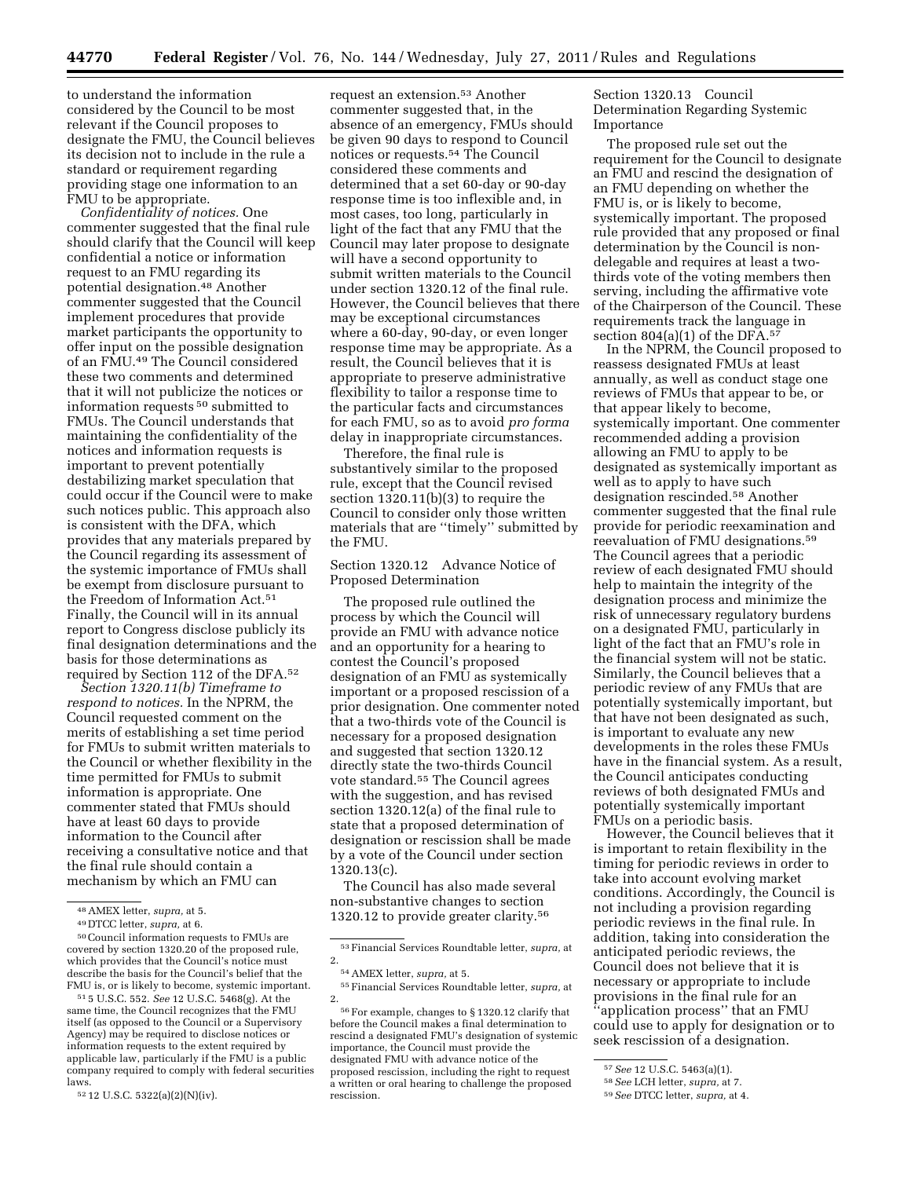to understand the information considered by the Council to be most relevant if the Council proposes to designate the FMU, the Council believes its decision not to include in the rule a standard or requirement regarding providing stage one information to an FMU to be appropriate.

*Confidentiality of notices.* One commenter suggested that the final rule should clarify that the Council will keep confidential a notice or information request to an FMU regarding its potential designation.48 Another commenter suggested that the Council implement procedures that provide market participants the opportunity to offer input on the possible designation of an FMU.49 The Council considered these two comments and determined that it will not publicize the notices or information requests 50 submitted to FMUs. The Council understands that maintaining the confidentiality of the notices and information requests is important to prevent potentially destabilizing market speculation that could occur if the Council were to make such notices public. This approach also is consistent with the DFA, which provides that any materials prepared by the Council regarding its assessment of the systemic importance of FMUs shall be exempt from disclosure pursuant to the Freedom of Information Act.51 Finally, the Council will in its annual report to Congress disclose publicly its final designation determinations and the basis for those determinations as required by Section 112 of the DFA.52

*Section 1320.11(b) Timeframe to respond to notices.* In the NPRM, the Council requested comment on the merits of establishing a set time period for FMUs to submit written materials to the Council or whether flexibility in the time permitted for FMUs to submit information is appropriate. One commenter stated that FMUs should have at least 60 days to provide information to the Council after receiving a consultative notice and that the final rule should contain a mechanism by which an FMU can

51 5 U.S.C. 552. *See* 12 U.S.C. 5468(g). At the same time, the Council recognizes that the FMU itself (as opposed to the Council or a Supervisory Agency) may be required to disclose notices or information requests to the extent required by applicable law, particularly if the FMU is a public company required to comply with federal securities laws.

request an extension.53 Another commenter suggested that, in the absence of an emergency, FMUs should be given 90 days to respond to Council notices or requests.54 The Council considered these comments and determined that a set 60-day or 90-day response time is too inflexible and, in most cases, too long, particularly in light of the fact that any FMU that the Council may later propose to designate will have a second opportunity to submit written materials to the Council under section 1320.12 of the final rule. However, the Council believes that there may be exceptional circumstances where a 60-day, 90-day, or even longer response time may be appropriate. As a result, the Council believes that it is appropriate to preserve administrative flexibility to tailor a response time to the particular facts and circumstances for each FMU, so as to avoid *pro forma*  delay in inappropriate circumstances.

Therefore, the final rule is substantively similar to the proposed rule, except that the Council revised section 1320.11(b)(3) to require the Council to consider only those written materials that are ''timely'' submitted by the FMU.

## Section 1320.12 Advance Notice of Proposed Determination

The proposed rule outlined the process by which the Council will provide an FMU with advance notice and an opportunity for a hearing to contest the Council's proposed designation of an FMU as systemically important or a proposed rescission of a prior designation. One commenter noted that a two-thirds vote of the Council is necessary for a proposed designation and suggested that section 1320.12 directly state the two-thirds Council vote standard.55 The Council agrees with the suggestion, and has revised section 1320.12(a) of the final rule to state that a proposed determination of designation or rescission shall be made by a vote of the Council under section 1320.13(c).

The Council has also made several non-substantive changes to section 1320.12 to provide greater clarity.56

Section 1320.13 Council Determination Regarding Systemic Importance

The proposed rule set out the requirement for the Council to designate an FMU and rescind the designation of an FMU depending on whether the FMU is, or is likely to become, systemically important. The proposed rule provided that any proposed or final determination by the Council is nondelegable and requires at least a twothirds vote of the voting members then serving, including the affirmative vote of the Chairperson of the Council. These requirements track the language in section  $804(a)(1)$  of the DFA.<sup>57</sup>

In the NPRM, the Council proposed to reassess designated FMUs at least annually, as well as conduct stage one reviews of FMUs that appear to be, or that appear likely to become, systemically important. One commenter recommended adding a provision allowing an FMU to apply to be designated as systemically important as well as to apply to have such designation rescinded.58 Another commenter suggested that the final rule provide for periodic reexamination and reevaluation of FMU designations.59 The Council agrees that a periodic review of each designated FMU should help to maintain the integrity of the designation process and minimize the risk of unnecessary regulatory burdens on a designated FMU, particularly in light of the fact that an FMU's role in the financial system will not be static. Similarly, the Council believes that a periodic review of any FMUs that are potentially systemically important, but that have not been designated as such, is important to evaluate any new developments in the roles these FMUs have in the financial system. As a result, the Council anticipates conducting reviews of both designated FMUs and potentially systemically important FMUs on a periodic basis.

However, the Council believes that it is important to retain flexibility in the timing for periodic reviews in order to take into account evolving market conditions. Accordingly, the Council is not including a provision regarding periodic reviews in the final rule. In addition, taking into consideration the anticipated periodic reviews, the Council does not believe that it is necessary or appropriate to include provisions in the final rule for an ''application process'' that an FMU could use to apply for designation or to seek rescission of a designation.

<sup>48</sup>AMEX letter, *supra,* at 5.

<sup>49</sup> DTCC letter, *supra,* at 6.

<sup>50</sup>Council information requests to FMUs are covered by section 1320.20 of the proposed rule, which provides that the Council's notice must describe the basis for the Council's belief that the FMU is, or is likely to become, systemic important.

<sup>52</sup> 12 U.S.C. 5322(a)(2)(N)(iv).

<sup>53</sup>Financial Services Roundtable letter, *supra,* at 2.

<sup>54</sup>AMEX letter, *supra,* at 5.

<sup>55</sup>Financial Services Roundtable letter, *supra,* at 2.

<sup>56</sup>For example, changes to § 1320.12 clarify that before the Council makes a final determination to rescind a designated FMU's designation of systemic importance, the Council must provide the designated FMU with advance notice of the proposed rescission, including the right to request a written or oral hearing to challenge the proposed rescission.

<sup>57</sup>*See* 12 U.S.C. 5463(a)(1). 58*See* LCH letter, *supra,* at 7. 59*See* DTCC letter, *supra,* at 4.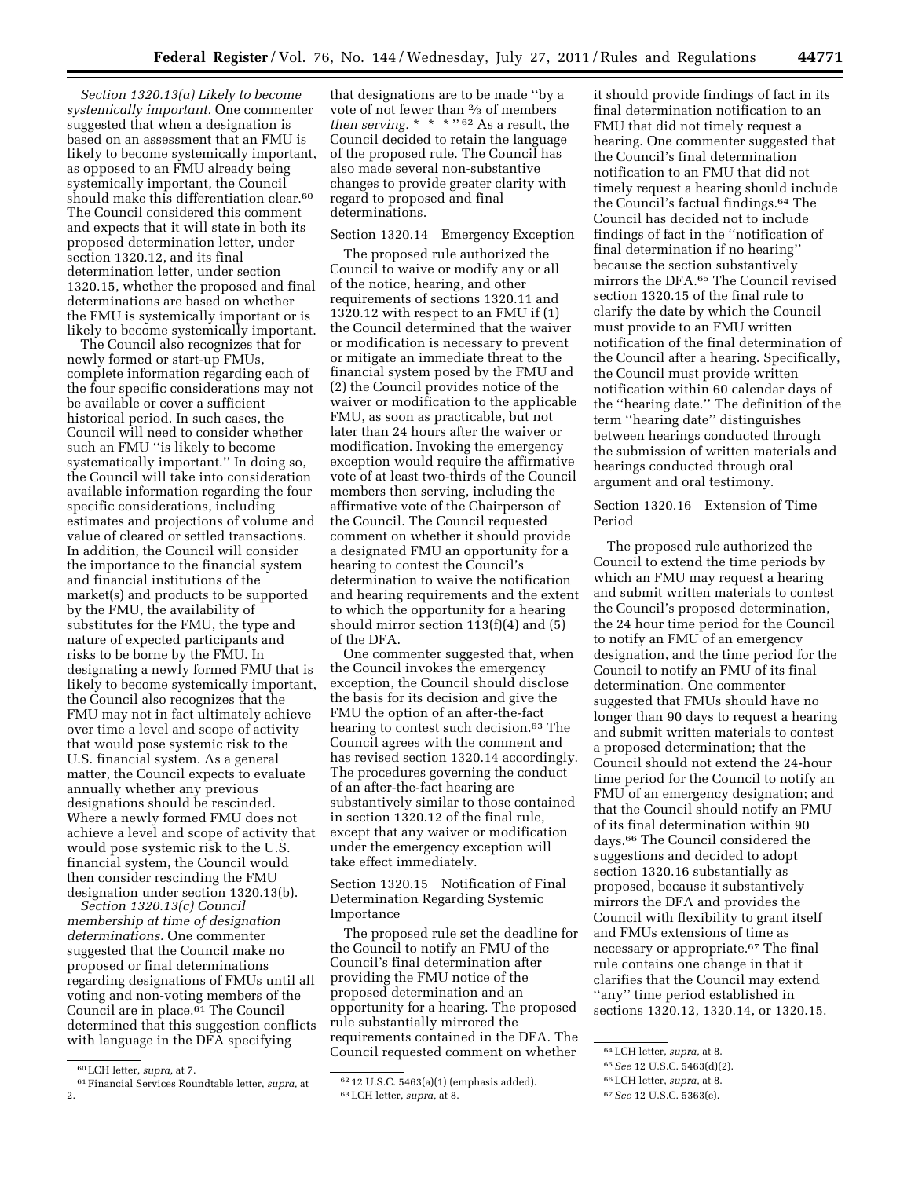*Section 1320.13(a) Likely to become systemically important.* One commenter suggested that when a designation is based on an assessment that an FMU is likely to become systemically important, as opposed to an FMU already being systemically important, the Council should make this differentiation clear.<sup>60</sup> The Council considered this comment and expects that it will state in both its proposed determination letter, under section 1320.12, and its final determination letter, under section 1320.15, whether the proposed and final determinations are based on whether the FMU is systemically important or is likely to become systemically important.

The Council also recognizes that for newly formed or start-up FMUs, complete information regarding each of the four specific considerations may not be available or cover a sufficient historical period. In such cases, the Council will need to consider whether such an FMU ''is likely to become systematically important.'' In doing so, the Council will take into consideration available information regarding the four specific considerations, including estimates and projections of volume and value of cleared or settled transactions. In addition, the Council will consider the importance to the financial system and financial institutions of the market(s) and products to be supported by the FMU, the availability of substitutes for the FMU, the type and nature of expected participants and risks to be borne by the FMU. In designating a newly formed FMU that is likely to become systemically important, the Council also recognizes that the FMU may not in fact ultimately achieve over time a level and scope of activity that would pose systemic risk to the U.S. financial system. As a general matter, the Council expects to evaluate annually whether any previous designations should be rescinded. Where a newly formed FMU does not achieve a level and scope of activity that would pose systemic risk to the U.S. financial system, the Council would then consider rescinding the FMU designation under section 1320.13(b).

*Section 1320.13(c) Council membership at time of designation determinations.* One commenter suggested that the Council make no proposed or final determinations regarding designations of FMUs until all voting and non-voting members of the Council are in place.61 The Council determined that this suggestion conflicts with language in the DFA specifying

that designations are to be made ''by a vote of not fewer than 2⁄3 of members *then serving.* \* \* \* '' 62 As a result, the Council decided to retain the language of the proposed rule. The Council has also made several non-substantive changes to provide greater clarity with regard to proposed and final determinations.

### Section 1320.14 Emergency Exception

The proposed rule authorized the Council to waive or modify any or all of the notice, hearing, and other requirements of sections 1320.11 and 1320.12 with respect to an FMU if (1) the Council determined that the waiver or modification is necessary to prevent or mitigate an immediate threat to the financial system posed by the FMU and (2) the Council provides notice of the waiver or modification to the applicable FMU, as soon as practicable, but not later than 24 hours after the waiver or modification. Invoking the emergency exception would require the affirmative vote of at least two-thirds of the Council members then serving, including the affirmative vote of the Chairperson of the Council. The Council requested comment on whether it should provide a designated FMU an opportunity for a hearing to contest the Council's determination to waive the notification and hearing requirements and the extent to which the opportunity for a hearing should mirror section 113(f)(4) and (5) of the DFA.

One commenter suggested that, when the Council invokes the emergency exception, the Council should disclose the basis for its decision and give the FMU the option of an after-the-fact hearing to contest such decision.63 The Council agrees with the comment and has revised section 1320.14 accordingly. The procedures governing the conduct of an after-the-fact hearing are substantively similar to those contained in section 1320.12 of the final rule, except that any waiver or modification under the emergency exception will take effect immediately.

Section 1320.15 Notification of Final Determination Regarding Systemic Importance

The proposed rule set the deadline for the Council to notify an FMU of the Council's final determination after providing the FMU notice of the proposed determination and an opportunity for a hearing. The proposed rule substantially mirrored the requirements contained in the DFA. The Council requested comment on whether

it should provide findings of fact in its final determination notification to an FMU that did not timely request a hearing. One commenter suggested that the Council's final determination notification to an FMU that did not timely request a hearing should include the Council's factual findings.64 The Council has decided not to include findings of fact in the ''notification of final determination if no hearing'' because the section substantively mirrors the DFA.65 The Council revised section 1320.15 of the final rule to clarify the date by which the Council must provide to an FMU written notification of the final determination of the Council after a hearing. Specifically, the Council must provide written notification within 60 calendar days of the ''hearing date.'' The definition of the term ''hearing date'' distinguishes between hearings conducted through the submission of written materials and hearings conducted through oral argument and oral testimony.

Section 1320.16 Extension of Time Period

The proposed rule authorized the Council to extend the time periods by which an FMU may request a hearing and submit written materials to contest the Council's proposed determination, the 24 hour time period for the Council to notify an FMU of an emergency designation, and the time period for the Council to notify an FMU of its final determination. One commenter suggested that FMUs should have no longer than 90 days to request a hearing and submit written materials to contest a proposed determination; that the Council should not extend the 24-hour time period for the Council to notify an FMU of an emergency designation; and that the Council should notify an FMU of its final determination within 90 days.66 The Council considered the suggestions and decided to adopt section 1320.16 substantially as proposed, because it substantively mirrors the DFA and provides the Council with flexibility to grant itself and FMUs extensions of time as necessary or appropriate.67 The final rule contains one change in that it clarifies that the Council may extend ''any'' time period established in sections 1320.12, 1320.14, or 1320.15.

<sup>60</sup>LCH letter, *supra,* at 7.

<sup>61</sup>Financial Services Roundtable letter, *supra,* at 2.

<sup>62</sup> 12 U.S.C. 5463(a)(1) (emphasis added). 63LCH letter, *supra,* at 8.

<sup>64</sup>LCH letter, *supra,* at 8.

<sup>65</sup>*See* 12 U.S.C. 5463(d)(2).

<sup>66</sup>LCH letter, *supra,* at 8.

<sup>67</sup>*See* 12 U.S.C. 5363(e).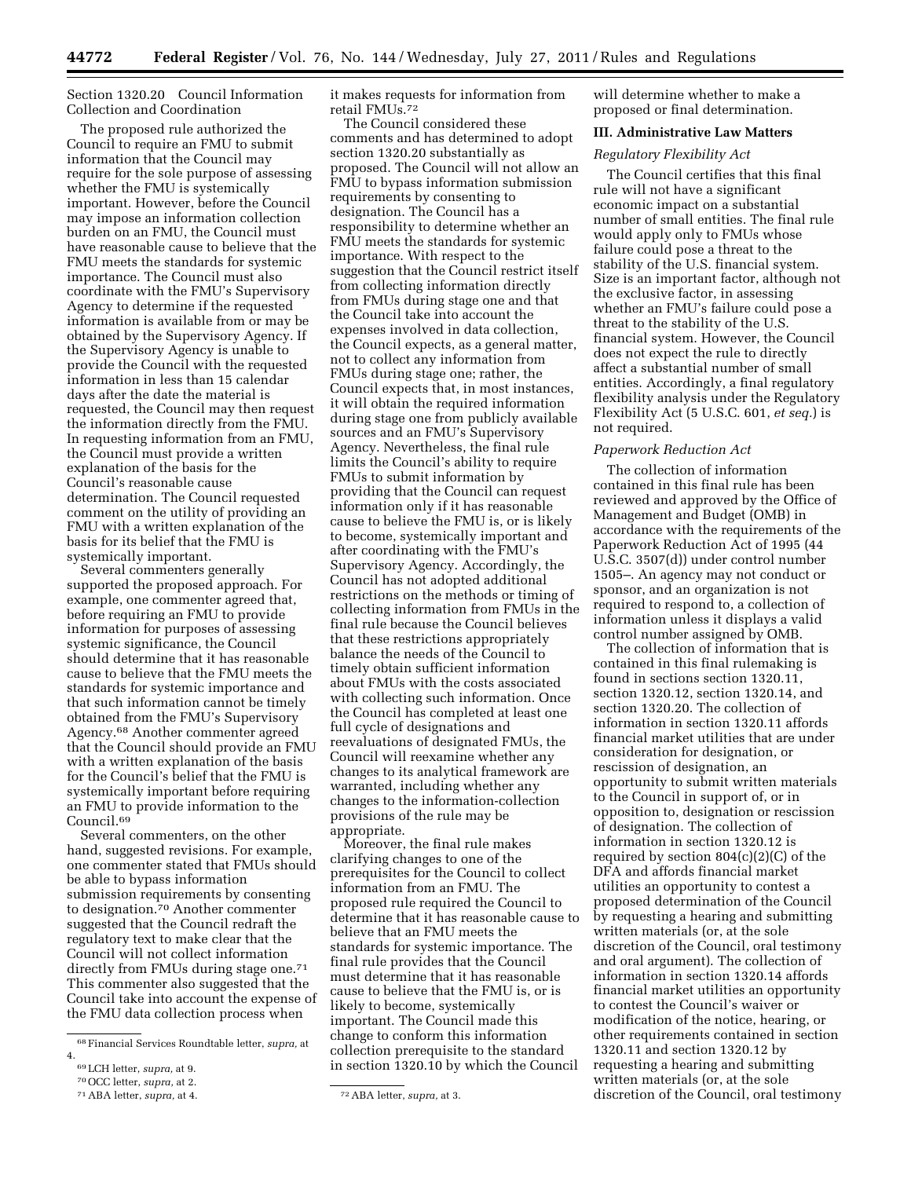Section 1320.20 Council Information Collection and Coordination

The proposed rule authorized the Council to require an FMU to submit information that the Council may require for the sole purpose of assessing whether the FMU is systemically important. However, before the Council may impose an information collection burden on an FMU, the Council must have reasonable cause to believe that the FMU meets the standards for systemic importance. The Council must also coordinate with the FMU's Supervisory Agency to determine if the requested information is available from or may be obtained by the Supervisory Agency. If the Supervisory Agency is unable to provide the Council with the requested information in less than 15 calendar days after the date the material is requested, the Council may then request the information directly from the FMU. In requesting information from an FMU, the Council must provide a written explanation of the basis for the Council's reasonable cause determination. The Council requested comment on the utility of providing an FMU with a written explanation of the basis for its belief that the FMU is systemically important.

Several commenters generally supported the proposed approach. For example, one commenter agreed that, before requiring an FMU to provide information for purposes of assessing systemic significance, the Council should determine that it has reasonable cause to believe that the FMU meets the standards for systemic importance and that such information cannot be timely obtained from the FMU's Supervisory Agency.68 Another commenter agreed that the Council should provide an FMU with a written explanation of the basis for the Council's belief that the FMU is systemically important before requiring an FMU to provide information to the Council.69

Several commenters, on the other hand, suggested revisions. For example, one commenter stated that FMUs should be able to bypass information submission requirements by consenting to designation.70 Another commenter suggested that the Council redraft the regulatory text to make clear that the Council will not collect information directly from FMUs during stage one.71 This commenter also suggested that the Council take into account the expense of the FMU data collection process when

The Council considered these comments and has determined to adopt section 1320.20 substantially as proposed. The Council will not allow an FMU to bypass information submission requirements by consenting to designation. The Council has a responsibility to determine whether an FMU meets the standards for systemic importance. With respect to the suggestion that the Council restrict itself from collecting information directly from FMUs during stage one and that the Council take into account the expenses involved in data collection, the Council expects, as a general matter, not to collect any information from FMUs during stage one; rather, the Council expects that, in most instances, it will obtain the required information during stage one from publicly available sources and an FMU's Supervisory Agency. Nevertheless, the final rule limits the Council's ability to require FMUs to submit information by providing that the Council can request information only if it has reasonable cause to believe the FMU is, or is likely to become, systemically important and after coordinating with the FMU's Supervisory Agency. Accordingly, the Council has not adopted additional restrictions on the methods or timing of collecting information from FMUs in the final rule because the Council believes that these restrictions appropriately balance the needs of the Council to timely obtain sufficient information about FMUs with the costs associated with collecting such information. Once the Council has completed at least one full cycle of designations and reevaluations of designated FMUs, the Council will reexamine whether any changes to its analytical framework are warranted, including whether any changes to the information-collection provisions of the rule may be appropriate.

Moreover, the final rule makes clarifying changes to one of the prerequisites for the Council to collect information from an FMU. The proposed rule required the Council to determine that it has reasonable cause to believe that an FMU meets the standards for systemic importance. The final rule provides that the Council must determine that it has reasonable cause to believe that the FMU is, or is likely to become, systemically important. The Council made this change to conform this information collection prerequisite to the standard in section 1320.10 by which the Council

will determine whether to make a proposed or final determination.

## **III. Administrative Law Matters**

## *Regulatory Flexibility Act*

The Council certifies that this final rule will not have a significant economic impact on a substantial number of small entities. The final rule would apply only to FMUs whose failure could pose a threat to the stability of the U.S. financial system. Size is an important factor, although not the exclusive factor, in assessing whether an FMU's failure could pose a threat to the stability of the U.S. financial system. However, the Council does not expect the rule to directly affect a substantial number of small entities. Accordingly, a final regulatory flexibility analysis under the Regulatory Flexibility Act (5 U.S.C. 601, *et seq.*) is not required.

### *Paperwork Reduction Act*

The collection of information contained in this final rule has been reviewed and approved by the Office of Management and Budget (OMB) in accordance with the requirements of the Paperwork Reduction Act of 1995 (44 U.S.C. 3507(d)) under control number 1505–. An agency may not conduct or sponsor, and an organization is not required to respond to, a collection of information unless it displays a valid control number assigned by OMB.

The collection of information that is contained in this final rulemaking is found in sections section 1320.11, section 1320.12, section 1320.14, and section 1320.20. The collection of information in section 1320.11 affords financial market utilities that are under consideration for designation, or rescission of designation, an opportunity to submit written materials to the Council in support of, or in opposition to, designation or rescission of designation. The collection of information in section 1320.12 is required by section  $804(c)(2)(C)$  of the DFA and affords financial market utilities an opportunity to contest a proposed determination of the Council by requesting a hearing and submitting written materials (or, at the sole discretion of the Council, oral testimony and oral argument). The collection of information in section 1320.14 affords financial market utilities an opportunity to contest the Council's waiver or modification of the notice, hearing, or other requirements contained in section 1320.11 and section 1320.12 by requesting a hearing and submitting written materials (or, at the sole discretion of the Council, oral testimony

<sup>68</sup>Financial Services Roundtable letter, *supra,* at 4.

<sup>69</sup>LCH letter, *supra,* at 9.

<sup>70</sup>OCC letter, *supra,* at 2.

it makes requests for information from retail FMUs.72

<sup>71</sup>ABA letter, *supra,* at 4. 72ABA letter, *supra,* at 3.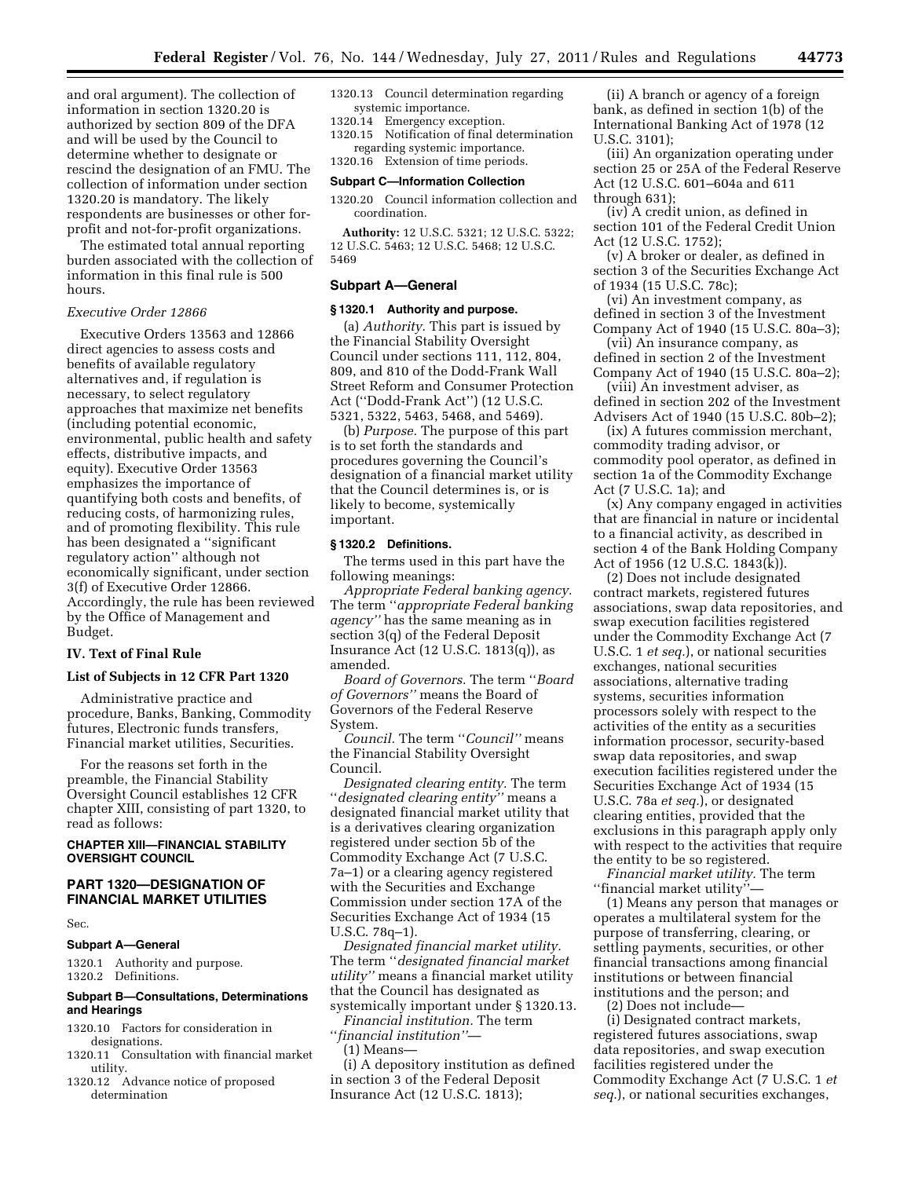and oral argument). The collection of information in section 1320.20 is authorized by section 809 of the DFA and will be used by the Council to determine whether to designate or rescind the designation of an FMU. The collection of information under section 1320.20 is mandatory. The likely respondents are businesses or other forprofit and not-for-profit organizations.

The estimated total annual reporting burden associated with the collection of information in this final rule is 500 hours.

# *Executive Order 12866*

Executive Orders 13563 and 12866 direct agencies to assess costs and benefits of available regulatory alternatives and, if regulation is necessary, to select regulatory approaches that maximize net benefits (including potential economic, environmental, public health and safety effects, distributive impacts, and equity). Executive Order 13563 emphasizes the importance of quantifying both costs and benefits, of reducing costs, of harmonizing rules, and of promoting flexibility. This rule has been designated a ''significant regulatory action'' although not economically significant, under section 3(f) of Executive Order 12866. Accordingly, the rule has been reviewed by the Office of Management and Budget.

## **IV. Text of Final Rule**

## **List of Subjects in 12 CFR Part 1320**

Administrative practice and procedure, Banks, Banking, Commodity futures, Electronic funds transfers, Financial market utilities, Securities.

For the reasons set forth in the preamble, the Financial Stability Oversight Council establishes 12 CFR chapter XIII, consisting of part 1320, to read as follows:

### **CHAPTER XIII—FINANCIAL STABILITY OVERSIGHT COUNCIL**

# **PART 1320—DESIGNATION OF FINANCIAL MARKET UTILITIES**

Sec.

### **Subpart A—General**

1320.1 Authority and purpose. 1320.2 Definitions.

## **Subpart B—Consultations, Determinations and Hearings**

- 1320.10 Factors for consideration in designations.
- 1320.11 Consultation with financial market utility.
- 1320.12 Advance notice of proposed determination
- 1320.13 Council determination regarding systemic importance.
- 1320.14 Emergency exception.
- 1320.15 Notification of final determination regarding systemic importance.

1320.16 Extension of time periods.

### **Subpart C—Information Collection**

1320.20 Council information collection and coordination.

**Authority:** 12 U.S.C. 5321; 12 U.S.C. 5322; 12 U.S.C. 5463; 12 U.S.C. 5468; 12 U.S.C. 5469

### **Subpart A—General**

### **§ 1320.1 Authority and purpose.**

(a) *Authority.* This part is issued by the Financial Stability Oversight Council under sections 111, 112, 804, 809, and 810 of the Dodd-Frank Wall Street Reform and Consumer Protection Act (''Dodd-Frank Act'') (12 U.S.C. 5321, 5322, 5463, 5468, and 5469).

(b) *Purpose.* The purpose of this part is to set forth the standards and procedures governing the Council's designation of a financial market utility that the Council determines is, or is likely to become, systemically important.

#### **§ 1320.2 Definitions.**

The terms used in this part have the following meanings:

*Appropriate Federal banking agency.*  The term ''*appropriate Federal banking agency''* has the same meaning as in section 3(q) of the Federal Deposit Insurance Act (12 U.S.C. 1813(q)), as amended.

*Board of Governors.* The term ''*Board of Governors''* means the Board of Governors of the Federal Reserve System.

*Council.* The term ''*Council''* means the Financial Stability Oversight Council.

*Designated clearing entity.* The term ''*designated clearing entity''* means a designated financial market utility that is a derivatives clearing organization registered under section 5b of the Commodity Exchange Act (7 U.S.C. 7a–1) or a clearing agency registered with the Securities and Exchange Commission under section 17A of the Securities Exchange Act of 1934 (15 U.S.C. 78q–1).

*Designated financial market utility.*  The term ''*designated financial market utility''* means a financial market utility that the Council has designated as systemically important under § 1320.13.

*Financial institution.* The term ''*financial institution''*—

(1) Means—

(i) A depository institution as defined in section 3 of the Federal Deposit Insurance Act (12 U.S.C. 1813);

(ii) A branch or agency of a foreign bank, as defined in section 1(b) of the International Banking Act of 1978 (12 U.S.C. 3101);

(iii) An organization operating under section 25 or 25A of the Federal Reserve Act (12 U.S.C. 601–604a and 611 through 631);

(iv) A credit union, as defined in section 101 of the Federal Credit Union Act (12 U.S.C. 1752);

(v) A broker or dealer, as defined in section 3 of the Securities Exchange Act of 1934 (15 U.S.C. 78c);

(vi) An investment company, as defined in section 3 of the Investment Company Act of 1940 (15 U.S.C. 80a–3);

(vii) An insurance company, as defined in section 2 of the Investment

Company Act of 1940 (15 U.S.C. 80a–2); (viii) An investment adviser, as defined in section 202 of the Investment Advisers Act of 1940 (15 U.S.C. 80b–2);

(ix) A futures commission merchant, commodity trading advisor, or commodity pool operator, as defined in section 1a of the Commodity Exchange Act (7 U.S.C. 1a); and

(x) Any company engaged in activities that are financial in nature or incidental to a financial activity, as described in section 4 of the Bank Holding Company Act of 1956 (12 U.S.C. 1843(k)).

(2) Does not include designated contract markets, registered futures associations, swap data repositories, and swap execution facilities registered under the Commodity Exchange Act (7 U.S.C. 1 *et seq.*), or national securities exchanges, national securities associations, alternative trading systems, securities information processors solely with respect to the activities of the entity as a securities information processor, security-based swap data repositories, and swap execution facilities registered under the Securities Exchange Act of 1934 (15 U.S.C. 78a *et seq.*), or designated clearing entities, provided that the exclusions in this paragraph apply only with respect to the activities that require the entity to be so registered.

*Financial market utility.* The term ''financial market utility''—

(1) Means any person that manages or operates a multilateral system for the purpose of transferring, clearing, or settling payments, securities, or other financial transactions among financial institutions or between financial institutions and the person; and

(2) Does not include—

(i) Designated contract markets, registered futures associations, swap data repositories, and swap execution facilities registered under the Commodity Exchange Act (7 U.S.C. 1 *et seq.*), or national securities exchanges,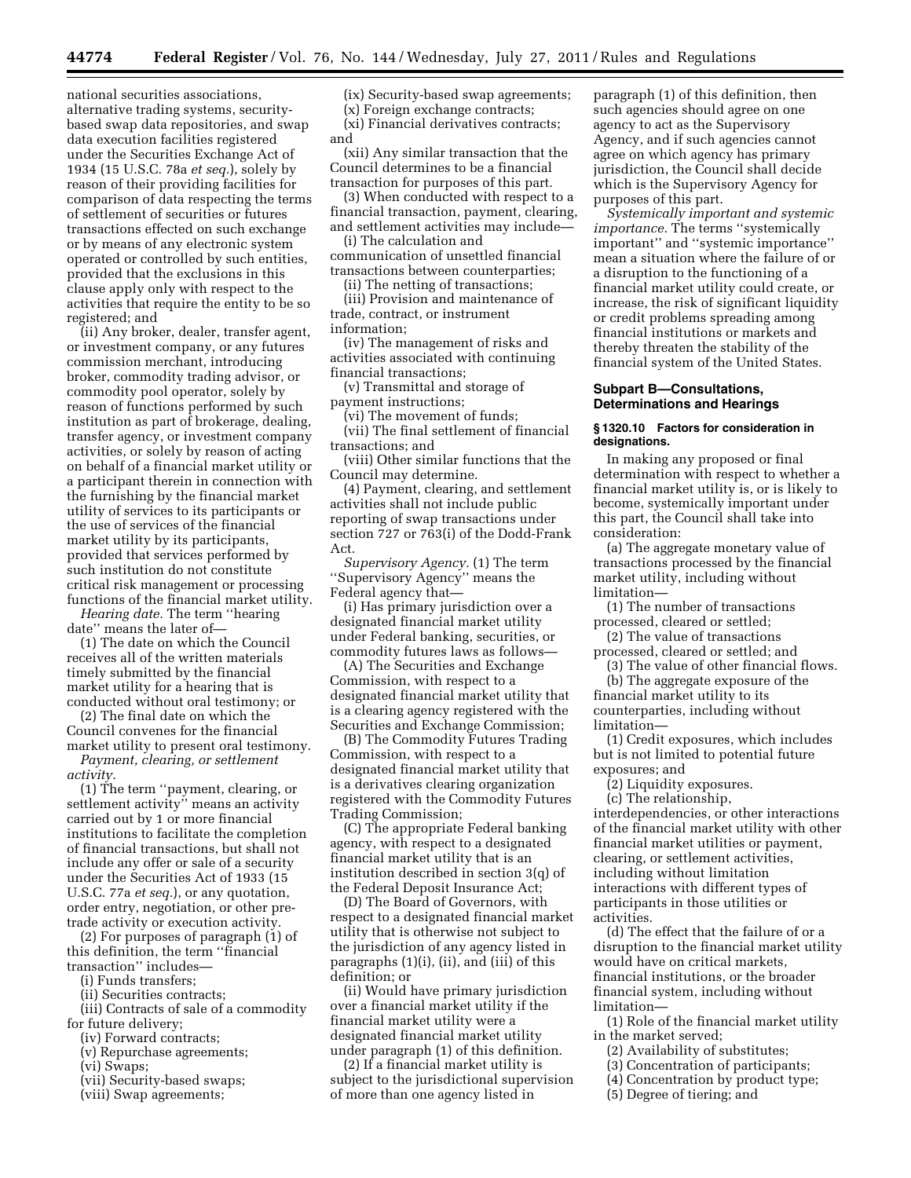national securities associations, alternative trading systems, securitybased swap data repositories, and swap data execution facilities registered under the Securities Exchange Act of 1934 (15 U.S.C. 78a *et seq.*), solely by reason of their providing facilities for comparison of data respecting the terms of settlement of securities or futures transactions effected on such exchange or by means of any electronic system operated or controlled by such entities, provided that the exclusions in this clause apply only with respect to the activities that require the entity to be so registered; and

(ii) Any broker, dealer, transfer agent, or investment company, or any futures commission merchant, introducing broker, commodity trading advisor, or commodity pool operator, solely by reason of functions performed by such institution as part of brokerage, dealing, transfer agency, or investment company activities, or solely by reason of acting on behalf of a financial market utility or a participant therein in connection with the furnishing by the financial market utility of services to its participants or the use of services of the financial market utility by its participants, provided that services performed by such institution do not constitute critical risk management or processing functions of the financial market utility.

*Hearing date.* The term ''hearing date'' means the later of—

(1) The date on which the Council receives all of the written materials timely submitted by the financial market utility for a hearing that is conducted without oral testimony; or

(2) The final date on which the Council convenes for the financial market utility to present oral testimony.

*Payment, clearing, or settlement activity.* 

(1) The term ''payment, clearing, or settlement activity'' means an activity carried out by 1 or more financial institutions to facilitate the completion of financial transactions, but shall not include any offer or sale of a security under the Securities Act of 1933 (15 U.S.C. 77a *et seq.*), or any quotation, order entry, negotiation, or other pretrade activity or execution activity.

(2) For purposes of paragraph (1) of this definition, the term ''financial transaction'' includes—

- (i) Funds transfers;
- (ii) Securities contracts;

(iii) Contracts of sale of a commodity for future delivery;

- (iv) Forward contracts;
- (v) Repurchase agreements;
- (vi) Swaps;
- (vii) Security-based swaps;
- (viii) Swap agreements;

(ix) Security-based swap agreements; (x) Foreign exchange contracts; (xi) Financial derivatives contracts; and

(xii) Any similar transaction that the Council determines to be a financial transaction for purposes of this part.

(3) When conducted with respect to a financial transaction, payment, clearing, and settlement activities may include—

(i) The calculation and communication of unsettled financial transactions between counterparties;

(ii) The netting of transactions;

(iii) Provision and maintenance of trade, contract, or instrument information;

(iv) The management of risks and activities associated with continuing financial transactions;

(v) Transmittal and storage of payment instructions;

(vi) The movement of funds;

(vii) The final settlement of financial transactions; and

(viii) Other similar functions that the Council may determine.

(4) Payment, clearing, and settlement activities shall not include public reporting of swap transactions under section 727 or 763(i) of the Dodd-Frank Act.

*Supervisory Agency.* (1) The term ''Supervisory Agency'' means the Federal agency that—

(i) Has primary jurisdiction over a designated financial market utility under Federal banking, securities, or commodity futures laws as follows—

(A) The Securities and Exchange Commission, with respect to a designated financial market utility that is a clearing agency registered with the Securities and Exchange Commission;

(B) The Commodity Futures Trading Commission, with respect to a designated financial market utility that is a derivatives clearing organization registered with the Commodity Futures Trading Commission;

(C) The appropriate Federal banking agency, with respect to a designated financial market utility that is an institution described in section 3(q) of the Federal Deposit Insurance Act;

(D) The Board of Governors, with respect to a designated financial market utility that is otherwise not subject to the jurisdiction of any agency listed in paragraphs (1)(i), (ii), and (iii) of this definition; or

(ii) Would have primary jurisdiction over a financial market utility if the financial market utility were a designated financial market utility under paragraph (1) of this definition.

(2) If a financial market utility is subject to the jurisdictional supervision of more than one agency listed in

paragraph (1) of this definition, then such agencies should agree on one agency to act as the Supervisory Agency, and if such agencies cannot agree on which agency has primary jurisdiction, the Council shall decide which is the Supervisory Agency for purposes of this part.

*Systemically important and systemic importance.* The terms ''systemically important'' and ''systemic importance'' mean a situation where the failure of or a disruption to the functioning of a financial market utility could create, or increase, the risk of significant liquidity or credit problems spreading among financial institutions or markets and thereby threaten the stability of the financial system of the United States.

## **Subpart B—Consultations, Determinations and Hearings**

## **§ 1320.10 Factors for consideration in designations.**

In making any proposed or final determination with respect to whether a financial market utility is, or is likely to become, systemically important under this part, the Council shall take into consideration:

(a) The aggregate monetary value of transactions processed by the financial market utility, including without limitation—

(1) The number of transactions processed, cleared or settled;

(2) The value of transactions

processed, cleared or settled; and (3) The value of other financial flows.

(b) The aggregate exposure of the financial market utility to its

counterparties, including without limitation—

(1) Credit exposures, which includes but is not limited to potential future exposures; and

(2) Liquidity exposures.

(c) The relationship, interdependencies, or other interactions of the financial market utility with other financial market utilities or payment, clearing, or settlement activities, including without limitation interactions with different types of participants in those utilities or activities.

(d) The effect that the failure of or a disruption to the financial market utility would have on critical markets, financial institutions, or the broader financial system, including without limitation—

(1) Role of the financial market utility in the market served;

- (2) Availability of substitutes;
- (3) Concentration of participants;
- (4) Concentration by product type;
- (5) Degree of tiering; and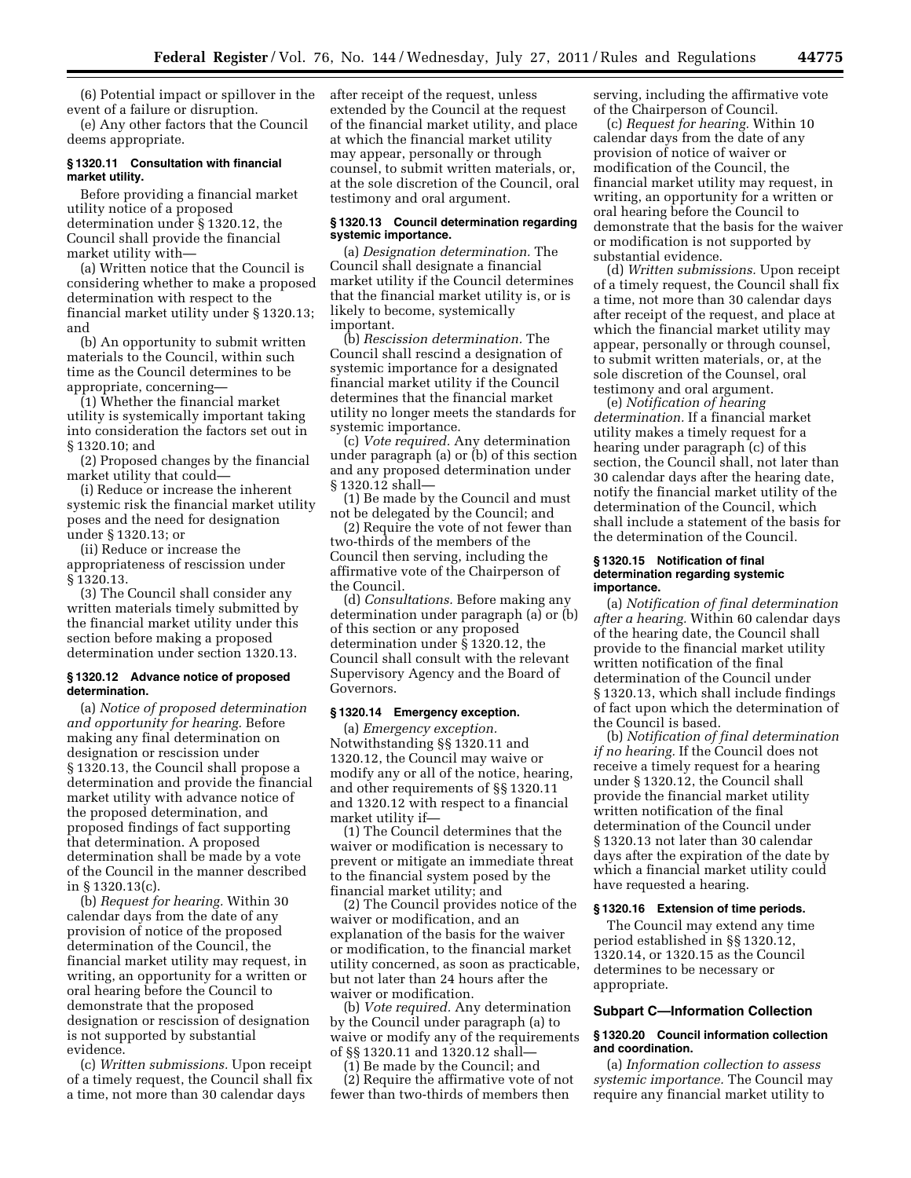(6) Potential impact or spillover in the event of a failure or disruption.

(e) Any other factors that the Council deems appropriate.

## **§ 1320.11 Consultation with financial market utility.**

Before providing a financial market utility notice of a proposed determination under § 1320.12, the Council shall provide the financial market utility with—

(a) Written notice that the Council is considering whether to make a proposed determination with respect to the financial market utility under § 1320.13; and

(b) An opportunity to submit written materials to the Council, within such time as the Council determines to be appropriate, concerning—

(1) Whether the financial market utility is systemically important taking into consideration the factors set out in § 1320.10; and

(2) Proposed changes by the financial market utility that could—

(i) Reduce or increase the inherent systemic risk the financial market utility poses and the need for designation under § 1320.13; or

(ii) Reduce or increase the appropriateness of rescission under § 1320.13.

(3) The Council shall consider any written materials timely submitted by the financial market utility under this section before making a proposed determination under section 1320.13.

### **§ 1320.12 Advance notice of proposed determination.**

(a) *Notice of proposed determination and opportunity for hearing.* Before making any final determination on designation or rescission under § 1320.13, the Council shall propose a determination and provide the financial market utility with advance notice of the proposed determination, and proposed findings of fact supporting that determination. A proposed determination shall be made by a vote of the Council in the manner described in § 1320.13(c).

(b) *Request for hearing.* Within 30 calendar days from the date of any provision of notice of the proposed determination of the Council, the financial market utility may request, in writing, an opportunity for a written or oral hearing before the Council to demonstrate that the proposed designation or rescission of designation is not supported by substantial evidence.

(c) *Written submissions.* Upon receipt of a timely request, the Council shall fix a time, not more than 30 calendar days

after receipt of the request, unless extended by the Council at the request of the financial market utility, and place at which the financial market utility may appear, personally or through counsel, to submit written materials, or, at the sole discretion of the Council, oral testimony and oral argument.

### **§ 1320.13 Council determination regarding systemic importance.**

(a) *Designation determination.* The Council shall designate a financial market utility if the Council determines that the financial market utility is, or is likely to become, systemically important.

(b) *Rescission determination.* The Council shall rescind a designation of systemic importance for a designated financial market utility if the Council determines that the financial market utility no longer meets the standards for systemic importance.

(c) *Vote required.* Any determination under paragraph (a) or (b) of this section and any proposed determination under § 1320.12 shall—

(1) Be made by the Council and must not be delegated by the Council; and

(2) Require the vote of not fewer than two-thirds of the members of the Council then serving, including the affirmative vote of the Chairperson of the Council.

(d) *Consultations.* Before making any determination under paragraph (a) or (b) of this section or any proposed determination under § 1320.12, the Council shall consult with the relevant Supervisory Agency and the Board of Governors.

### **§ 1320.14 Emergency exception.**

(a) *Emergency exception.*  Notwithstanding §§ 1320.11 and 1320.12, the Council may waive or modify any or all of the notice, hearing, and other requirements of §§ 1320.11 and 1320.12 with respect to a financial market utility if—

(1) The Council determines that the waiver or modification is necessary to prevent or mitigate an immediate threat to the financial system posed by the financial market utility; and

(2) The Council provides notice of the waiver or modification, and an explanation of the basis for the waiver or modification, to the financial market utility concerned, as soon as practicable, but not later than 24 hours after the waiver or modification.

(b) *Vote required.* Any determination by the Council under paragraph (a) to waive or modify any of the requirements of §§ 1320.11 and 1320.12 shall—

(1) Be made by the Council; and

(2) Require the affirmative vote of not fewer than two-thirds of members then

serving, including the affirmative vote of the Chairperson of Council.

(c) *Request for hearing.* Within 10 calendar days from the date of any provision of notice of waiver or modification of the Council, the financial market utility may request, in writing, an opportunity for a written or oral hearing before the Council to demonstrate that the basis for the waiver or modification is not supported by substantial evidence.

(d) *Written submissions.* Upon receipt of a timely request, the Council shall fix a time, not more than 30 calendar days after receipt of the request, and place at which the financial market utility may appear, personally or through counsel, to submit written materials, or, at the sole discretion of the Counsel, oral testimony and oral argument.

(e) *Notification of hearing determination.* If a financial market utility makes a timely request for a hearing under paragraph (c) of this section, the Council shall, not later than 30 calendar days after the hearing date, notify the financial market utility of the determination of the Council, which shall include a statement of the basis for the determination of the Council.

### **§ 1320.15 Notification of final determination regarding systemic importance.**

(a) *Notification of final determination after a hearing.* Within 60 calendar days of the hearing date, the Council shall provide to the financial market utility written notification of the final determination of the Council under § 1320.13, which shall include findings of fact upon which the determination of the Council is based.

(b) *Notification of final determination if no hearing.* If the Council does not receive a timely request for a hearing under § 1320.12, the Council shall provide the financial market utility written notification of the final determination of the Council under § 1320.13 not later than 30 calendar days after the expiration of the date by which a financial market utility could have requested a hearing.

#### **§ 1320.16 Extension of time periods.**

The Council may extend any time period established in §§ 1320.12, 1320.14, or 1320.15 as the Council determines to be necessary or appropriate.

### **Subpart C—Information Collection**

### **§ 1320.20 Council information collection and coordination.**

(a) *Information collection to assess systemic importance.* The Council may require any financial market utility to